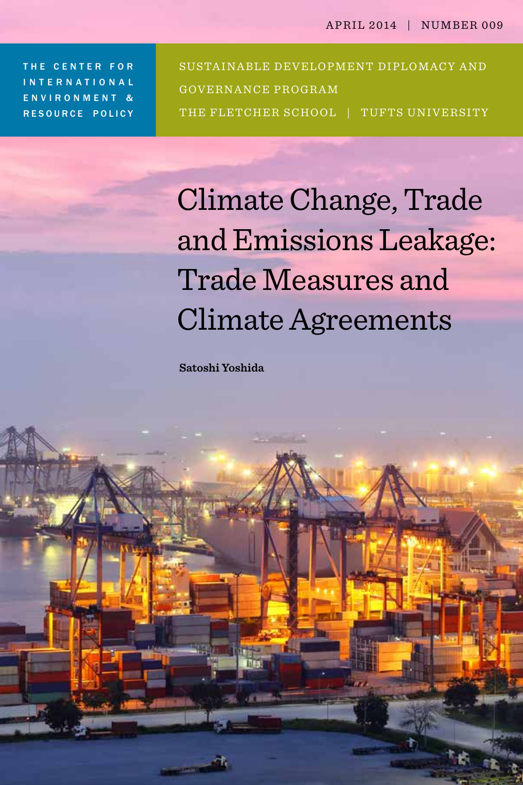THE CENTER FOR international environment & resource policy

SUSTAINABLE DEVELOPMENT DIPLOMACY AND GOVERNANCE PROGRAM THE FLETCHER SCHOOL | TUFTS UNIVERSITY

Climate Change, Trade and Emissions Leakage: Trade Measures and Climate Agreements

**Satoshi Yoshida**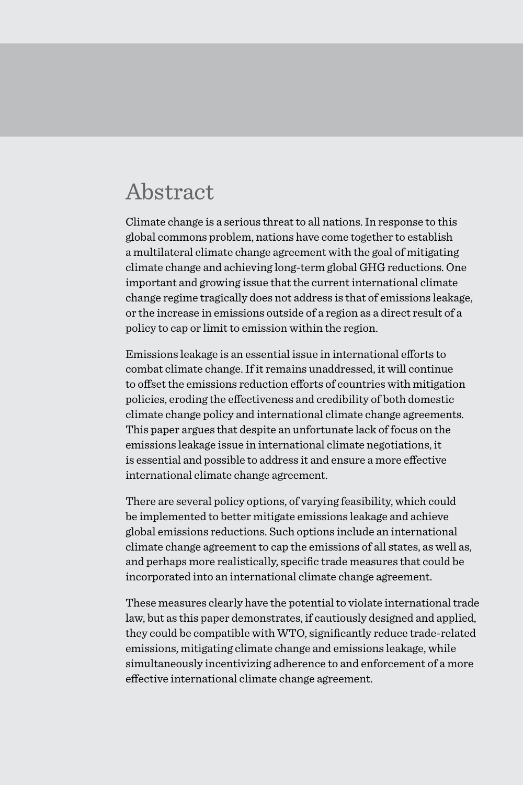### Abstract

Climate change is a serious threat to all nations. In response to this global commons problem, nations have come together to establish a multilateral climate change agreement with the goal of mitigating climate change and achieving long-term global GHG reductions. One important and growing issue that the current international climate change regime tragically does not address is that of emissions leakage, or the increase in emissions outside of a region as a direct result of a policy to cap or limit to emission within the region.

Emissions leakage is an essential issue in international efforts to combat climate change. If it remains unaddressed, it will continue to offset the emissions reduction efforts of countries with mitigation policies, eroding the effectiveness and credibility of both domestic climate change policy and international climate change agreements. This paper argues that despite an unfortunate lack of focus on the emissions leakage issue in international climate negotiations, it is essential and possible to address it and ensure a more effective international climate change agreement.

There are several policy options, of varying feasibility, which could be implemented to better mitigate emissions leakage and achieve global emissions reductions. Such options include an international climate change agreement to cap the emissions of all states, as well as, and perhaps more realistically, specific trade measures that could be incorporated into an international climate change agreement.

These measures clearly have the potential to violate international trade law, but as this paper demonstrates, if cautiously designed and applied, they could be compatible with WTO, significantly reduce trade-related emissions, mitigating climate change and emissions leakage, while simultaneously incentivizing adherence to and enforcement of a more effective international climate change agreement.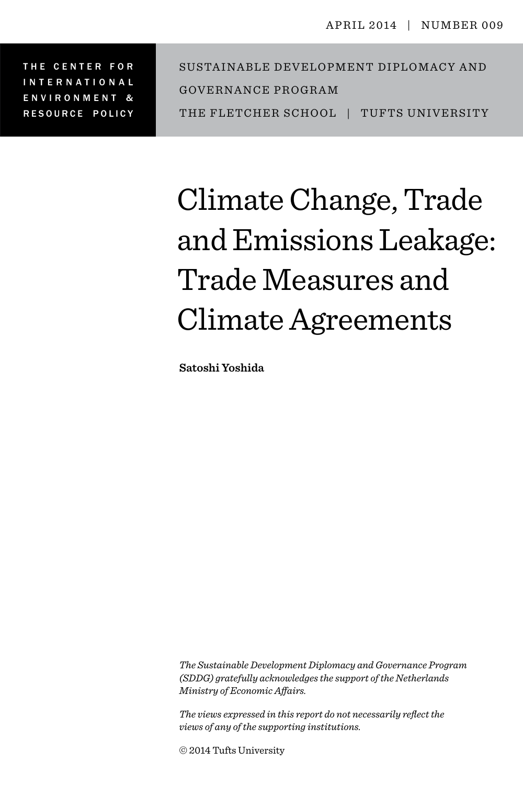THE CENTER FOR international environment & resource policy S ustainable Development Diplomacy and Governance Pr ogr a m THE FLETCHER SCHOOL | TUFTS UNIVERSITY

# Climate Change, Trade and Emissions Leakage: Trade Measures and Climate Agreements

**Satoshi Yoshida**

*The Sustainable Development Diplomacy and Governance Program (SDDG) gratefully acknowledges the support of the Netherlands Ministry of Economic Affairs.*

*The views expressed in this report do not necessarily reflect the views of any of the supporting institutions.*

© 2014 Tufts University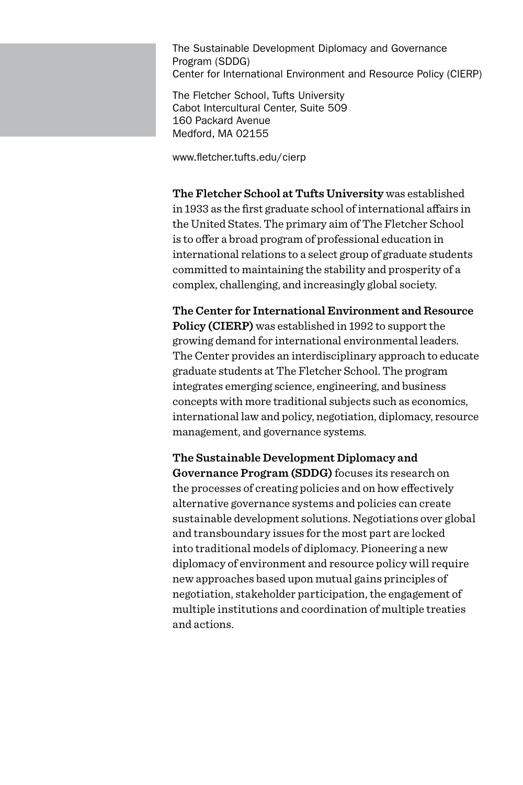The Sustainable Development Diplomacy and Governance Program (SDDG) Center for International Environment and Resource Policy (CIERP)

The Fletcher School, Tufts University Cabot Intercultural Center, Suite 509 160 Packard Avenue Medford, MA 02155

www.fletcher.tufts.edu/cierp

**The Fletcher School at Tufts University** was established in 1933 as the first graduate school of international affairs in the United States. The primary aim of The Fletcher School is to offer a broad program of professional education in international relations to a select group of graduate students committed to maintaining the stability and prosperity of a complex, challenging, and increasingly global society.

**The Center for International Environment and Resource Policy (CIERP)** was established in 1992 to support the growing demand for international environmental leaders. The Center provides an interdisciplinary approach to educate graduate students at The Fletcher School. The program integrates emerging science, engineering, and business concepts with more traditional subjects such as economics, international law and policy, negotiation, diplomacy, resource management, and governance systems.

**The Sustainable Development Diplomacy and Governance Program (SDDG)** focuses its research on the processes of creating policies and on how effectively alternative governance systems and policies can create sustainable development solutions. Negotiations over global and transboundary issues for the most part are locked into traditional models of diplomacy. Pioneering a new diplomacy of environment and resource policy will require new approaches based upon mutual gains principles of negotiation, stakeholder participation, the engagement of multiple institutions and coordination of multiple treaties and actions.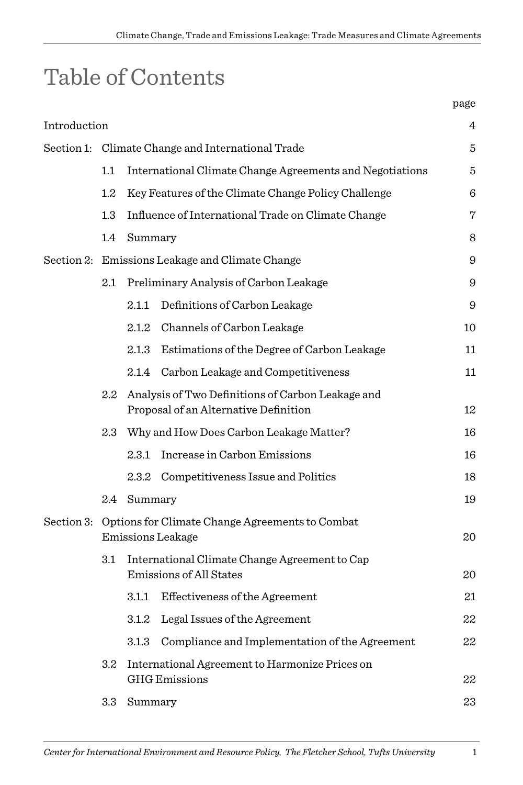# Table of Contents

|              |                                                                                 |                                                                                                | page |  |  |
|--------------|---------------------------------------------------------------------------------|------------------------------------------------------------------------------------------------|------|--|--|
| Introduction |                                                                                 |                                                                                                | 4    |  |  |
|              | Section 1: Climate Change and International Trade                               |                                                                                                |      |  |  |
|              | 1.1                                                                             | International Climate Change Agreements and Negotiations                                       | 5    |  |  |
|              | $1.2\,$                                                                         | Key Features of the Climate Change Policy Challenge                                            | 6    |  |  |
|              | $1.3\,$                                                                         | Influence of International Trade on Climate Change                                             |      |  |  |
|              | 1.4                                                                             | Summary                                                                                        |      |  |  |
|              | Section 2: Emissions Leakage and Climate Change                                 |                                                                                                |      |  |  |
|              | $2.1\,$                                                                         | Preliminary Analysis of Carbon Leakage                                                         | 9    |  |  |
|              |                                                                                 | 2.1.1 Definitions of Carbon Leakage                                                            | 9    |  |  |
|              |                                                                                 | 2.1.2 Channels of Carbon Leakage                                                               | 10   |  |  |
|              |                                                                                 | 2.1.3 Estimations of the Degree of Carbon Leakage                                              | 11   |  |  |
|              |                                                                                 | 2.1.4 Carbon Leakage and Competitiveness                                                       | 11   |  |  |
|              |                                                                                 | 2.2 Analysis of Two Definitions of Carbon Leakage and<br>Proposal of an Alternative Definition | 12   |  |  |
|              |                                                                                 | 2.3 Why and How Does Carbon Leakage Matter?                                                    | 16   |  |  |
|              |                                                                                 | 2.3.1 Increase in Carbon Emissions                                                             | 16   |  |  |
|              |                                                                                 | 2.3.2 Competitiveness Issue and Politics                                                       | 18   |  |  |
|              |                                                                                 | 2.4 Summary                                                                                    | 19   |  |  |
|              | Section 3: Options for Climate Change Agreements to Combat<br>Emissions Leakage |                                                                                                |      |  |  |
|              | 3.1                                                                             | International Climate Change Agreement to Cap<br>Emissions of All States                       | 20   |  |  |
|              |                                                                                 | Effectiveness of the Agreement<br>3.1.1                                                        | 21   |  |  |
|              |                                                                                 | 3.1.2 Legal Issues of the Agreement                                                            | 22   |  |  |
|              |                                                                                 | Compliance and Implementation of the Agreement<br>3.1.3                                        | 22   |  |  |
|              | 3.2 <sub>1</sub>                                                                | International Agreement to Harmonize Prices on<br><b>GHG</b> Emissions                         | 22   |  |  |
|              | 3.3                                                                             | Summary                                                                                        |      |  |  |
|              |                                                                                 |                                                                                                |      |  |  |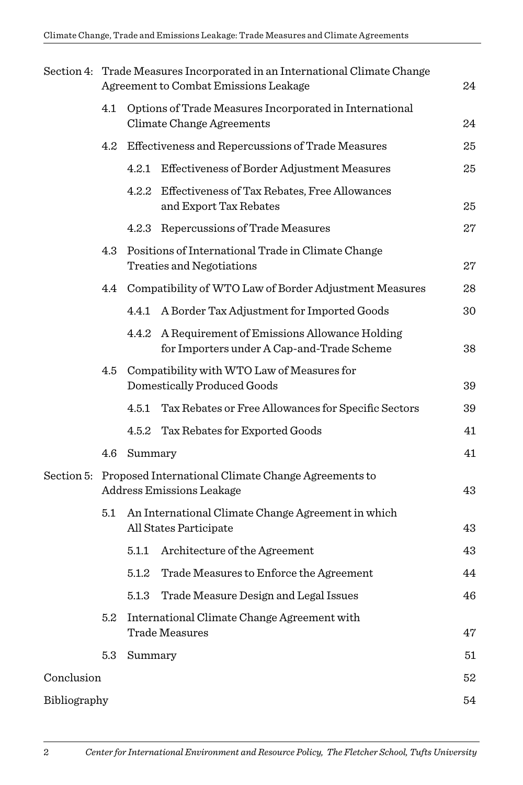|              | Section 4: Trade Measures Incorporated in an International Climate Change<br>Agreement to Combat Emissions Leakage<br>24 |                                                                                      |                                                                                            |    |  |  |  |
|--------------|--------------------------------------------------------------------------------------------------------------------------|--------------------------------------------------------------------------------------|--------------------------------------------------------------------------------------------|----|--|--|--|
|              | 4.1                                                                                                                      | Options of Trade Measures Incorporated in International<br>Climate Change Agreements |                                                                                            |    |  |  |  |
|              | 4.2                                                                                                                      | Effectiveness and Repercussions of Trade Measures                                    |                                                                                            |    |  |  |  |
|              |                                                                                                                          | 4.2.1                                                                                | Effectiveness of Border Adjustment Measures                                                | 25 |  |  |  |
|              |                                                                                                                          | 4.2.2                                                                                | Effectiveness of Tax Rebates, Free Allowances<br>and Export Tax Rebates                    | 25 |  |  |  |
|              |                                                                                                                          |                                                                                      | 4.2.3 Repercussions of Trade Measures                                                      | 27 |  |  |  |
|              | 4.3                                                                                                                      |                                                                                      | Positions of International Trade in Climate Change<br>Treaties and Negotiations            | 27 |  |  |  |
|              | 4.4                                                                                                                      |                                                                                      | Compatibility of WTO Law of Border Adjustment Measures                                     | 28 |  |  |  |
|              |                                                                                                                          | 4.4.1                                                                                | A Border Tax Adjustment for Imported Goods                                                 | 30 |  |  |  |
|              |                                                                                                                          | 4.4.2                                                                                | A Requirement of Emissions Allowance Holding<br>for Importers under A Cap-and-Trade Scheme | 38 |  |  |  |
|              | 4.5                                                                                                                      | Compatibility with WTO Law of Measures for<br>Domestically Produced Goods            |                                                                                            |    |  |  |  |
|              |                                                                                                                          | 4.5.1                                                                                | Tax Rebates or Free Allowances for Specific Sectors                                        | 39 |  |  |  |
|              |                                                                                                                          |                                                                                      | 4.5.2 Tax Rebates for Exported Goods                                                       | 41 |  |  |  |
|              | 4.6                                                                                                                      | Summary                                                                              |                                                                                            |    |  |  |  |
|              | Section 5: Proposed International Climate Change Agreements to<br>Address Emissions Leakage                              |                                                                                      |                                                                                            |    |  |  |  |
|              | 5.1                                                                                                                      |                                                                                      | An International Climate Change Agreement in which<br>All States Participate               | 43 |  |  |  |
|              |                                                                                                                          | $5.1.1\,$                                                                            | Architecture of the Agreement                                                              | 43 |  |  |  |
|              |                                                                                                                          | 5.1.2                                                                                | Trade Measures to Enforce the Agreement                                                    | 44 |  |  |  |
|              |                                                                                                                          | $5.1.3\,$                                                                            | Trade Measure Design and Legal Issues                                                      | 46 |  |  |  |
|              | 5.2                                                                                                                      | International Climate Change Agreement with<br><b>Trade Measures</b>                 |                                                                                            |    |  |  |  |
|              | 5.3                                                                                                                      | Summary                                                                              |                                                                                            | 51 |  |  |  |
| Conclusion   |                                                                                                                          |                                                                                      |                                                                                            | 52 |  |  |  |
| Bibliography |                                                                                                                          |                                                                                      |                                                                                            |    |  |  |  |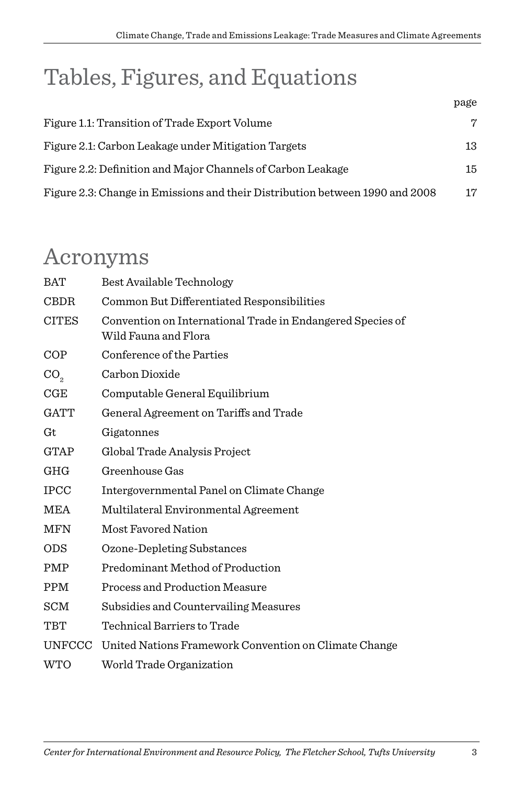# Tables, Figures, and Equations

|                                                                              | page |
|------------------------------------------------------------------------------|------|
| Figure 1.1: Transition of Trade Export Volume                                | 7    |
| Figure 2.1: Carbon Leakage under Mitigation Targets                          | 13   |
| Figure 2.2: Definition and Major Channels of Carbon Leakage                  | 15   |
| Figure 2.3: Change in Emissions and their Distribution between 1990 and 2008 | 17   |

### Acronyms

| BAT             | Best Available Technology                                                          |
|-----------------|------------------------------------------------------------------------------------|
| <b>CBDR</b>     | Common But Differentiated Responsibilities                                         |
| <b>CITES</b>    | Convention on International Trade in Endangered Species of<br>Wild Fauna and Flora |
| COP             | Conference of the Parties                                                          |
| CO <sub>2</sub> | Carbon Dioxide                                                                     |
| $_{\rm CGE}$    | Computable General Equilibrium                                                     |
| <b>GATT</b>     | General Agreement on Tariffs and Trade                                             |
| Gt              | Gigatonnes                                                                         |
| <b>GTAP</b>     | Global Trade Analysis Project                                                      |
| <b>GHG</b>      | Greenhouse Gas                                                                     |
| <b>IPCC</b>     | Intergovernmental Panel on Climate Change                                          |
| MEA             | Multilateral Environmental Agreement                                               |
| <b>MFN</b>      | Most Favored Nation                                                                |
| <b>ODS</b>      | Ozone-Depleting Substances                                                         |
| PMP             | Predominant Method of Production                                                   |
| <b>PPM</b>      | Process and Production Measure                                                     |
| SCM             | Subsidies and Countervailing Measures                                              |
| TBT             | Technical Barriers to Trade                                                        |
| <b>UNFCCC</b>   | United Nations Framework Convention on Climate Change                              |
| <b>WTO</b>      | World Trade Organization                                                           |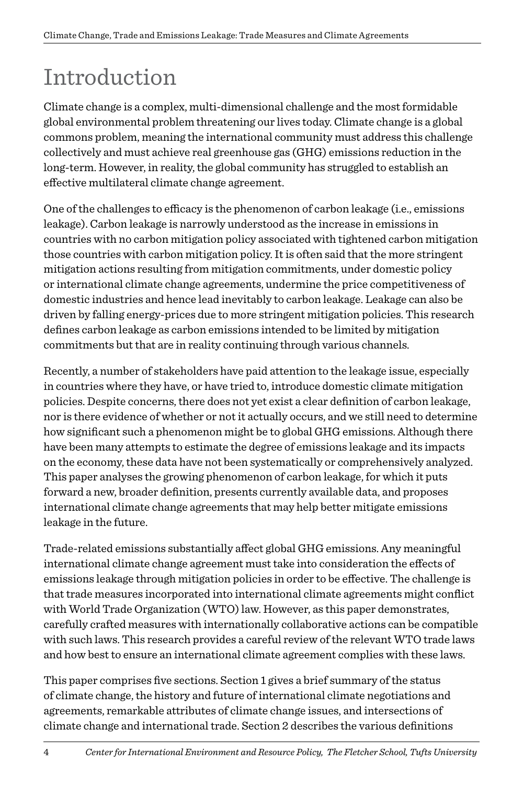# Introduction

Climate change is a complex, multi-dimensional challenge and the most formidable global environmental problem threatening our lives today. Climate change is a global commons problem, meaning the international community must address this challenge collectively and must achieve real greenhouse gas (GHG) emissions reduction in the long-term. However, in reality, the global community has struggled to establish an effective multilateral climate change agreement.

One of the challenges to efficacy is the phenomenon of carbon leakage (i.e., emissions leakage). Carbon leakage is narrowly understood as the increase in emissions in countries with no carbon mitigation policy associated with tightened carbon mitigation those countries with carbon mitigation policy. It is often said that the more stringent mitigation actions resulting from mitigation commitments, under domestic policy or international climate change agreements, undermine the price competitiveness of domestic industries and hence lead inevitably to carbon leakage. Leakage can also be driven by falling energy-prices due to more stringent mitigation policies. This research defines carbon leakage as carbon emissions intended to be limited by mitigation commitments but that are in reality continuing through various channels.

Recently, a number of stakeholders have paid attention to the leakage issue, especially in countries where they have, or have tried to, introduce domestic climate mitigation policies. Despite concerns, there does not yet exist a clear definition of carbon leakage, nor is there evidence of whether or not it actually occurs, and we still need to determine how significant such a phenomenon might be to global GHG emissions. Although there have been many attempts to estimate the degree of emissions leakage and its impacts on the economy, these data have not been systematically or comprehensively analyzed. This paper analyses the growing phenomenon of carbon leakage, for which it puts forward a new, broader definition, presents currently available data, and proposes international climate change agreements that may help better mitigate emissions leakage in the future.

Trade-related emissions substantially affect global GHG emissions. Any meaningful international climate change agreement must take into consideration the effects of emissions leakage through mitigation policies in order to be effective. The challenge is that trade measures incorporated into international climate agreements might conflict with World Trade Organization (WTO) law. However, as this paper demonstrates, carefully crafted measures with internationally collaborative actions can be compatible with such laws. This research provides a careful review of the relevant WTO trade laws and how best to ensure an international climate agreement complies with these laws.

This paper comprises five sections. Section 1 gives a brief summary of the status of climate change, the history and future of international climate negotiations and agreements, remarkable attributes of climate change issues, and intersections of climate change and international trade. Section 2 describes the various definitions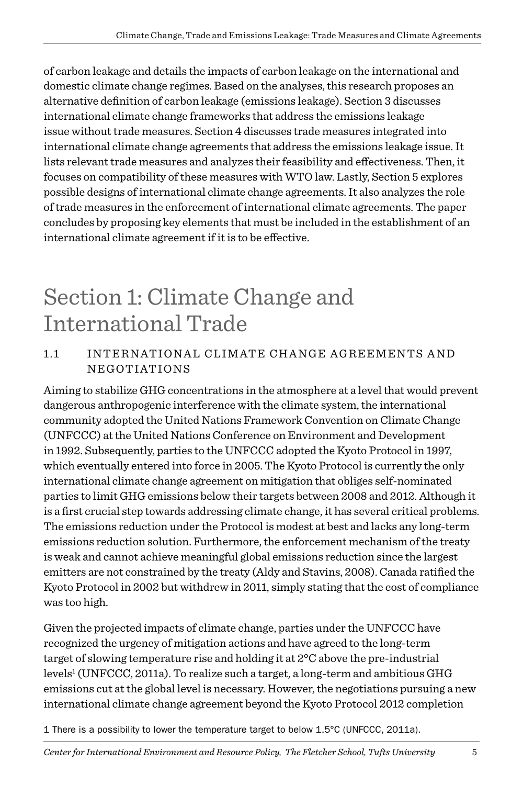of carbon leakage and details the impacts of carbon leakage on the international and domestic climate change regimes. Based on the analyses, this research proposes an alternative definition of carbon leakage (emissions leakage). Section 3 discusses international climate change frameworks that address the emissions leakage issue without trade measures. Section 4 discusses trade measures integrated into international climate change agreements that address the emissions leakage issue. It lists relevant trade measures and analyzes their feasibility and effectiveness. Then, it focuses on compatibility of these measures with WTO law. Lastly, Section 5 explores possible designs of international climate change agreements. It also analyzes the role of trade measures in the enforcement of international climate agreements. The paper concludes by proposing key elements that must be included in the establishment of an international climate agreement if it is to be effective.

### Section 1: Climate Change and International Trade

#### 1.1 International Climate Cha nge Agreements and Negotiations

Aiming to stabilize GHG concentrations in the atmosphere at a level that would prevent dangerous anthropogenic interference with the climate system, the international community adopted the United Nations Framework Convention on Climate Change (UNFCCC) at the United Nations Conference on Environment and Development in 1992. Subsequently, parties to the UNFCCC adopted the Kyoto Protocol in 1997, which eventually entered into force in 2005. The Kyoto Protocol is currently the only international climate change agreement on mitigation that obliges self-nominated parties to limit GHG emissions below their targets between 2008 and 2012. Although it is a first crucial step towards addressing climate change, it has several critical problems. The emissions reduction under the Protocol is modest at best and lacks any long-term emissions reduction solution. Furthermore, the enforcement mechanism of the treaty is weak and cannot achieve meaningful global emissions reduction since the largest emitters are not constrained by the treaty (Aldy and Stavins, 2008). Canada ratified the Kyoto Protocol in 2002 but withdrew in 2011, simply stating that the cost of compliance was too high.

Given the projected impacts of climate change, parties under the UNFCCC have recognized the urgency of mitigation actions and have agreed to the long-term target of slowing temperature rise and holding it at 2°C above the pre-industrial levels<sup>1</sup> (UNFCCC, 2011a). To realize such a target, a long-term and ambitious GHG emissions cut at the global level is necessary. However, the negotiations pursuing a new international climate change agreement beyond the Kyoto Protocol 2012 completion

1 There is a possibility to lower the temperature target to below 1.5°C (UNFCCC, 2011a).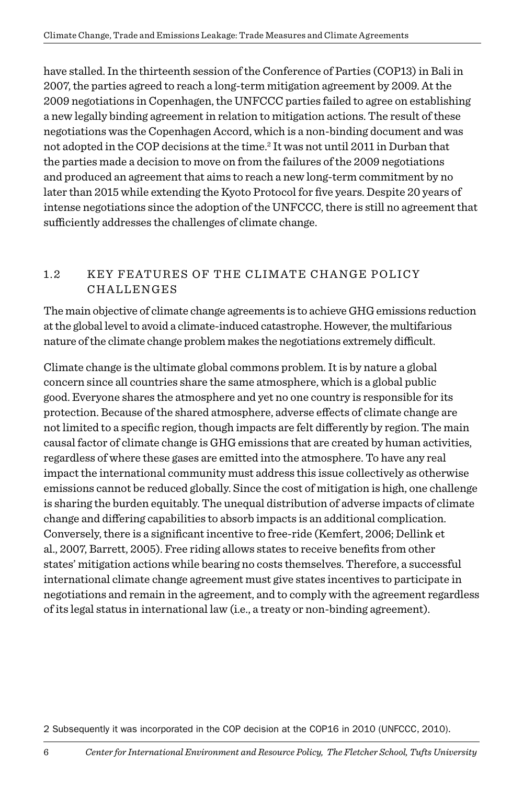have stalled. In the thirteenth session of the Conference of Parties (COP13) in Bali in 2007, the parties agreed to reach a long-term mitigation agreement by 2009. At the 2009 negotiations in Copenhagen, the UNFCCC parties failed to agree on establishing a new legally binding agreement in relation to mitigation actions. The result of these negotiations was the Copenhagen Accord, which is a non-binding document and was not adopted in the COP decisions at the time.2 It was not until 2011 in Durban that the parties made a decision to move on from the failures of the 2009 negotiations and produced an agreement that aims to reach a new long-term commitment by no later than 2015 while extending the Kyoto Protocol for five years. Despite 20 years of intense negotiations since the adoption of the UNFCCC, there is still no agreement that sufficiently addresses the challenges of climate change.

#### 1.2 KEY FEATURES OF THE CLIMATE CHANGE POLICY **CHALLENGES**

The main objective of climate change agreements is to achieve GHG emissions reduction at the global level to avoid a climate-induced catastrophe. However, the multifarious nature of the climate change problem makes the negotiations extremely difficult.

Climate change is the ultimate global commons problem. It is by nature a global concern since all countries share the same atmosphere, which is a global public good. Everyone shares the atmosphere and yet no one country is responsible for its protection. Because of the shared atmosphere, adverse effects of climate change are not limited to a specific region, though impacts are felt differently by region. The main causal factor of climate change is GHG emissions that are created by human activities, regardless of where these gases are emitted into the atmosphere. To have any real impact the international community must address this issue collectively as otherwise emissions cannot be reduced globally. Since the cost of mitigation is high, one challenge is sharing the burden equitably. The unequal distribution of adverse impacts of climate change and differing capabilities to absorb impacts is an additional complication. Conversely, there is a significant incentive to free-ride (Kemfert, 2006; Dellink et al., 2007, Barrett, 2005). Free riding allows states to receive benefits from other states' mitigation actions while bearing no costs themselves. Therefore, a successful international climate change agreement must give states incentives to participate in negotiations and remain in the agreement, and to comply with the agreement regardless of its legal status in international law (i.e., a treaty or non-binding agreement).

2 Subsequently it was incorporated in the COP decision at the COP16 in 2010 (UNFCCC, 2010).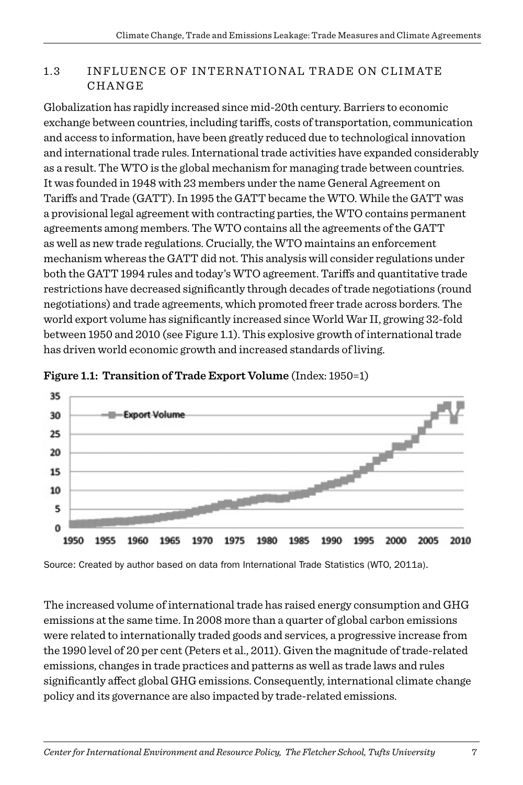#### 1.3 INFLUENCE OF INTERNATIONAL TRADE ON CLIMATE CHANGE

Globalization has rapidly increased since mid-20th century. Barriers to economic exchange between countries, including tariffs, costs of transportation, communication and access to information, have been greatly reduced due to technological innovation and international trade rules. International trade activities have expanded considerably as a result. The WTO is the global mechanism for managing trade between countries. It was founded in 1948 with 23 members under the name General Agreement on Tariffs and Trade (GATT). In 1995 the GATT became the WTO. While the GATT was a provisional legal agreement with contracting parties, the WTO contains permanent agreements among members. The WTO contains all the agreements of the GATT as well as new trade regulations. Crucially, the WTO maintains an enforcement mechanism whereas the GATT did not. This analysis will consider regulations under both the GATT 1994 rules and today's WTO agreement. Tariffs and quantitative trade restrictions have decreased significantly through decades of trade negotiations (round negotiations) and trade agreements, which promoted freer trade across borders. The world export volume has significantly increased since World War II, growing 32-fold between 1950 and 2010 (see Figure 1.1). This explosive growth of international trade has driven world economic growth and increased standards of living.



**Figure 1.1: Transition of Trade Export Volume** (Index: 1950=1)

Source: Created by author based on data from International Trade Statistics (WTO, 2011a).

The increased volume of international trade has raised energy consumption and GHG emissions at the same time. In 2008 more than a quarter of global carbon emissions were related to internationally traded goods and services, a progressive increase from the 1990 level of 20 per cent (Peters et al., 2011). Given the magnitude of trade-related emissions, changes in trade practices and patterns as well as trade laws and rules significantly affect global GHG emissions. Consequently, international climate change policy and its governance are also impacted by trade-related emissions.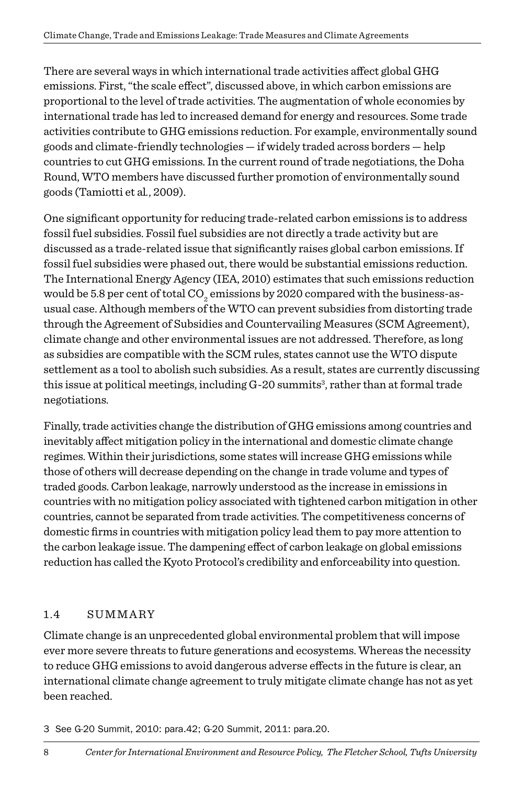There are several ways in which international trade activities affect global GHG emissions. First, "the scale effect", discussed above, in which carbon emissions are proportional to the level of trade activities. The augmentation of whole economies by international trade has led to increased demand for energy and resources. Some trade activities contribute to GHG emissions reduction. For example, environmentally sound goods and climate-friendly technologies — if widely traded across borders — help countries to cut GHG emissions. In the current round of trade negotiations, the Doha Round, WTO members have discussed further promotion of environmentally sound goods (Tamiotti et al*.*, 2009).

One significant opportunity for reducing trade-related carbon emissions is to address fossil fuel subsidies. Fossil fuel subsidies are not directly a trade activity but are discussed as a trade-related issue that significantly raises global carbon emissions. If fossil fuel subsidies were phased out, there would be substantial emissions reduction. The International Energy Agency (IEA, 2010) estimates that such emissions reduction would be 5.8 per cent of total CO<sub>2</sub> emissions by 2020 compared with the business-asusual case. Although members of the WTO can prevent subsidies from distorting trade through the Agreement of Subsidies and Countervailing Measures (SCM Agreement), climate change and other environmental issues are not addressed. Therefore, as long as subsidies are compatible with the SCM rules, states cannot use the WTO dispute settlement as a tool to abolish such subsidies. As a result, states are currently discussing this issue at political meetings, including G-20 summits<sup>3</sup>, rather than at formal trade negotiations.

Finally, trade activities change the distribution of GHG emissions among countries and inevitably affect mitigation policy in the international and domestic climate change regimes. Within their jurisdictions, some states will increase GHG emissions while those of others will decrease depending on the change in trade volume and types of traded goods. Carbon leakage, narrowly understood as the increase in emissions in countries with no mitigation policy associated with tightened carbon mitigation in other countries, cannot be separated from trade activities. The competitiveness concerns of domestic firms in countries with mitigation policy lead them to pay more attention to the carbon leakage issue. The dampening effect of carbon leakage on global emissions reduction has called the Kyoto Protocol's credibility and enforceability into question.

#### 1.4 SUMMARY

Climate change is an unprecedented global environmental problem that will impose ever more severe threats to future generations and ecosystems. Whereas the necessity to reduce GHG emissions to avoid dangerous adverse effects in the future is clear, an international climate change agreement to truly mitigate climate change has not as yet been reached.

3 See G-20 Summit, 2010: para.42; G-20 Summit, 2011: para.20.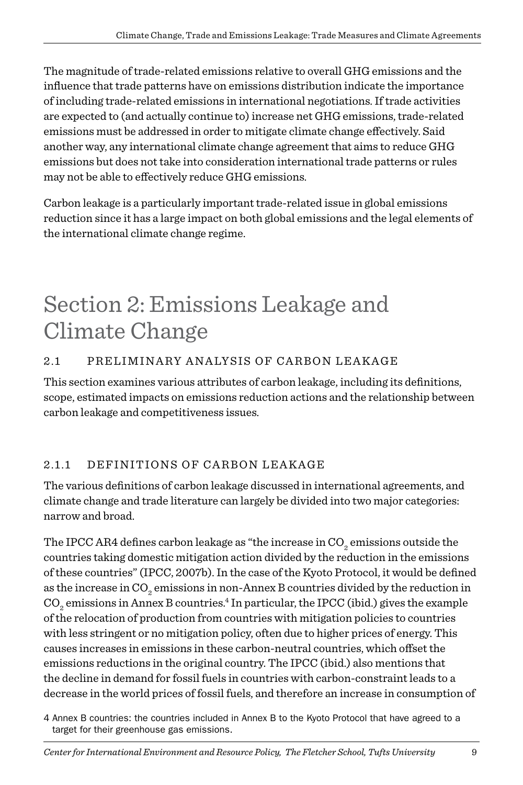The magnitude of trade-related emissions relative to overall GHG emissions and the influence that trade patterns have on emissions distribution indicate the importance of including trade-related emissions in international negotiations. If trade activities are expected to (and actually continue to) increase net GHG emissions, trade-related emissions must be addressed in order to mitigate climate change effectively. Said another way, any international climate change agreement that aims to reduce GHG emissions but does not take into consideration international trade patterns or rules may not be able to effectively reduce GHG emissions.

Carbon leakage is a particularly important trade-related issue in global emissions reduction since it has a large impact on both global emissions and the legal elements of the international climate change regime.

### Section 2: Emissions Leakage and Climate Change

#### 2.1 PRELIMINARY ANALYSIS OF CARBON LEAKAGE

This section examines various attributes of carbon leakage, including its definitions, scope, estimated impacts on emissions reduction actions and the relationship between carbon leakage and competitiveness issues.

#### 2.1.1 DEFINITIONS OF CARBON LEAKAGE

The various definitions of carbon leakage discussed in international agreements, and climate change and trade literature can largely be divided into two major categories: narrow and broad.

The IPCC AR4 defines carbon leakage as "the increase in CO<sub>2</sub> emissions outside the countries taking domestic mitigation action divided by the reduction in the emissions of these countries" (IPCC, 2007b). In the case of the Kyoto Protocol, it would be defined as the increase in CO<sub>2</sub> emissions in non-Annex B countries divided by the reduction in  $\mathrm{CO}_2$  emissions in Annex B countries.<sup>4</sup> In particular, the IPCC (ibid.) gives the example of the relocation of production from countries with mitigation policies to countries with less stringent or no mitigation policy, often due to higher prices of energy. This causes increases in emissions in these carbon-neutral countries, which offset the emissions reductions in the original country. The IPCC (ibid.) also mentions that the decline in demand for fossil fuels in countries with carbon-constraint leads to a decrease in the world prices of fossil fuels, and therefore an increase in consumption of

4 Annex B countries: the countries included in Annex B to the Kyoto Protocol that have agreed to a target for their greenhouse gas emissions.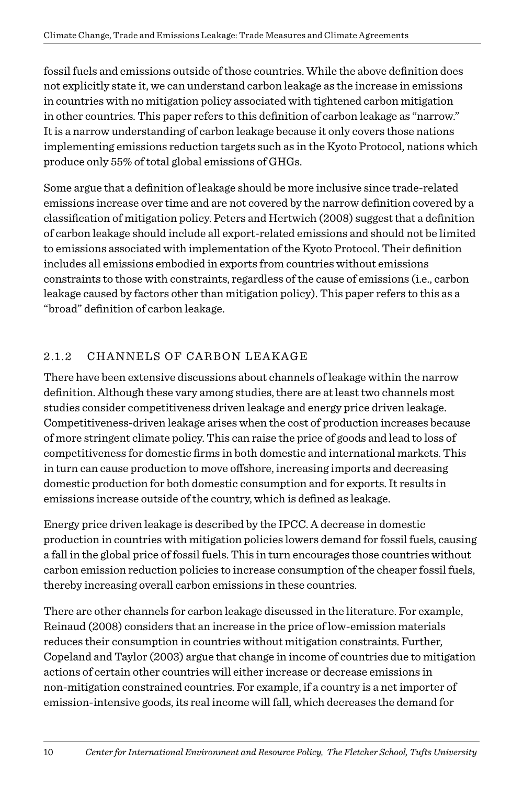fossil fuels and emissions outside of those countries. While the above definition does not explicitly state it, we can understand carbon leakage as the increase in emissions in countries with no mitigation policy associated with tightened carbon mitigation in other countries. This paper refers to this definition of carbon leakage as "narrow." It is a narrow understanding of carbon leakage because it only covers those nations implementing emissions reduction targets such as in the Kyoto Protocol, nations which produce only 55% of total global emissions of GHGs.

Some argue that a definition of leakage should be more inclusive since trade-related emissions increase over time and are not covered by the narrow definition covered by a classification of mitigation policy. Peters and Hertwich (2008) suggest that a definition of carbon leakage should include all export-related emissions and should not be limited to emissions associated with implementation of the Kyoto Protocol. Their definition includes all emissions embodied in exports from countries without emissions constraints to those with constraints, regardless of the cause of emissions (i.e., carbon leakage caused by factors other than mitigation policy). This paper refers to this as a "broad" definition of carbon leakage.

#### 2.1.2 CHANNELS OF CARBON LEAKAGE

There have been extensive discussions about channels of leakage within the narrow definition. Although these vary among studies, there are at least two channels most studies consider competitiveness driven leakage and energy price driven leakage. Competitiveness-driven leakage arises when the cost of production increases because of more stringent climate policy. This can raise the price of goods and lead to loss of competitiveness for domestic firms in both domestic and international markets. This in turn can cause production to move offshore, increasing imports and decreasing domestic production for both domestic consumption and for exports. It results in emissions increase outside of the country, which is defined as leakage.

Energy price driven leakage is described by the IPCC. A decrease in domestic production in countries with mitigation policies lowers demand for fossil fuels, causing a fall in the global price of fossil fuels. This in turn encourages those countries without carbon emission reduction policies to increase consumption of the cheaper fossil fuels, thereby increasing overall carbon emissions in these countries.

There are other channels for carbon leakage discussed in the literature. For example, Reinaud (2008) considers that an increase in the price of low-emission materials reduces their consumption in countries without mitigation constraints. Further, Copeland and Taylor (2003) argue that change in income of countries due to mitigation actions of certain other countries will either increase or decrease emissions in non-mitigation constrained countries. For example, if a country is a net importer of emission-intensive goods, its real income will fall, which decreases the demand for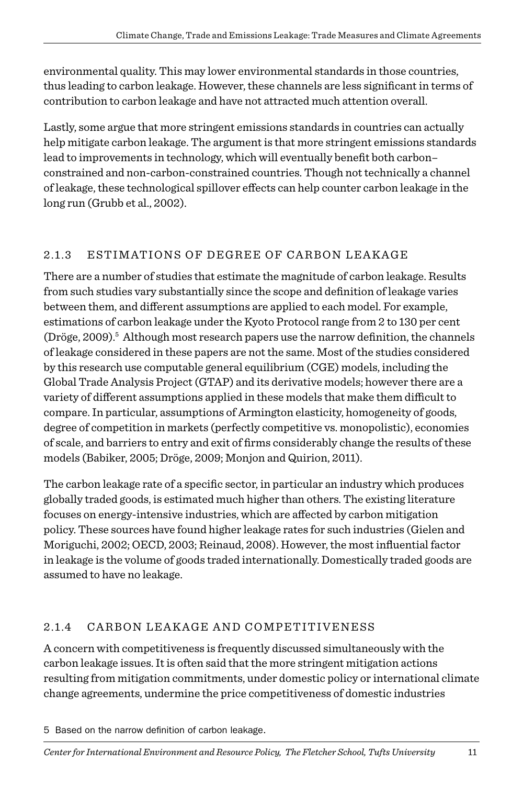environmental quality. This may lower environmental standards in those countries, thus leading to carbon leakage. However, these channels are less significant in terms of contribution to carbon leakage and have not attracted much attention overall.

Lastly, some argue that more stringent emissions standards in countries can actually help mitigate carbon leakage. The argument is that more stringent emissions standards lead to improvements in technology, which will eventually benefit both carbon– constrained and non-carbon-constrained countries. Though not technically a channel of leakage, these technological spillover effects can help counter carbon leakage in the long run (Grubb et al., 2002).

#### 2.1.3 ESTIMATIONS OF DEGREE OF CARBON LEAKAGE

There are a number of studies that estimate the magnitude of carbon leakage. Results from such studies vary substantially since the scope and definition of leakage varies between them, and different assumptions are applied to each model. For example, estimations of carbon leakage under the Kyoto Protocol range from 2 to 130 per cent (Dröge, 2009).<sup>5</sup> Although most research papers use the narrow definition, the channels of leakage considered in these papers are not the same. Most of the studies considered by this research use computable general equilibrium (CGE) models, including the Global Trade Analysis Project (GTAP) and its derivative models; however there are a variety of different assumptions applied in these models that make them difficult to compare. In particular, assumptions of Armington elasticity, homogeneity of goods, degree of competition in markets (perfectly competitive vs. monopolistic), economies of scale, and barriers to entry and exit of firms considerably change the results of these models (Babiker, 2005; Dröge, 2009; Monjon and Quirion, 2011).

The carbon leakage rate of a specific sector, in particular an industry which produces globally traded goods, is estimated much higher than others. The existing literature focuses on energy-intensive industries, which are affected by carbon mitigation policy. These sources have found higher leakage rates for such industries (Gielen and Moriguchi, 2002; OECD, 2003; Reinaud, 2008). However, the most influential factor in leakage is the volume of goods traded internationally. Domestically traded goods are assumed to have no leakage.

#### 2.1.4 CARBON LEAKAGE AND COMPETITIVENESS

A concern with competitiveness is frequently discussed simultaneously with the carbon leakage issues. It is often said that the more stringent mitigation actions resulting from mitigation commitments, under domestic policy or international climate change agreements, undermine the price competitiveness of domestic industries

<sup>5</sup> Based on the narrow definition of carbon leakage.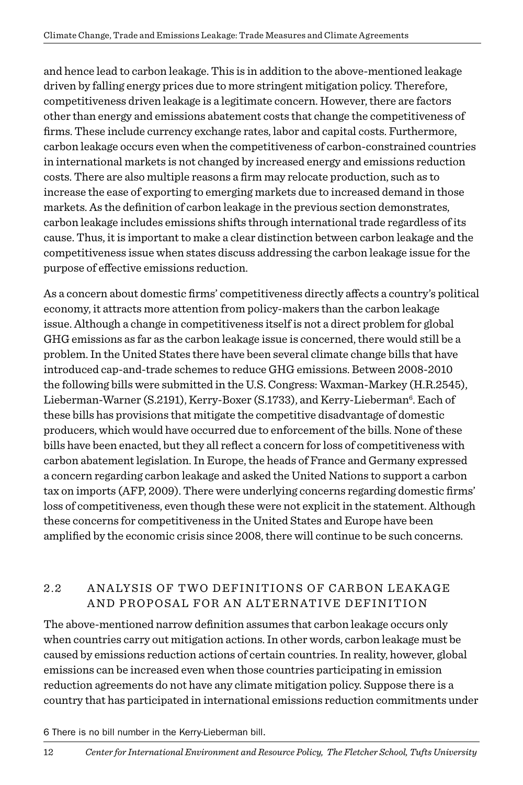and hence lead to carbon leakage. This is in addition to the above-mentioned leakage driven by falling energy prices due to more stringent mitigation policy. Therefore, competitiveness driven leakage is a legitimate concern. However, there are factors other than energy and emissions abatement costs that change the competitiveness of firms. These include currency exchange rates, labor and capital costs. Furthermore, carbon leakage occurs even when the competitiveness of carbon-constrained countries in international markets is not changed by increased energy and emissions reduction costs. There are also multiple reasons a firm may relocate production, such as to increase the ease of exporting to emerging markets due to increased demand in those markets. As the definition of carbon leakage in the previous section demonstrates, carbon leakage includes emissions shifts through international trade regardless of its cause. Thus, it is important to make a clear distinction between carbon leakage and the competitiveness issue when states discuss addressing the carbon leakage issue for the purpose of effective emissions reduction.

As a concern about domestic firms' competitiveness directly affects a country's political economy, it attracts more attention from policy-makers than the carbon leakage issue. Although a change in competitiveness itself is not a direct problem for global GHG emissions as far as the carbon leakage issue is concerned, there would still be a problem. In the United States there have been several climate change bills that have introduced cap-and-trade schemes to reduce GHG emissions. Between 2008-2010 the following bills were submitted in the U.S. Congress: Waxman-Markey (H.R.2545), Lieberman-Warner (S.2191), Kerry-Boxer (S.1733), and Kerry-Lieberman<sup>6</sup>. Each of these bills has provisions that mitigate the competitive disadvantage of domestic producers, which would have occurred due to enforcement of the bills. None of these bills have been enacted, but they all reflect a concern for loss of competitiveness with carbon abatement legislation. In Europe, the heads of France and Germany expressed a concern regarding carbon leakage and asked the United Nations to support a carbon tax on imports (AFP, 2009). There were underlying concerns regarding domestic firms' loss of competitiveness, even though these were not explicit in the statement. Although these concerns for competitiveness in the United States and Europe have been amplified by the economic crisis since 2008, there will continue to be such concerns.

#### 2.2 ANALYSIS OF TWO DEFINITIONS OF CARBON LEAKAGE a nd Proposal for an Alternative Definition

The above-mentioned narrow definition assumes that carbon leakage occurs only when countries carry out mitigation actions. In other words, carbon leakage must be caused by emissions reduction actions of certain countries. In reality, however, global emissions can be increased even when those countries participating in emission reduction agreements do not have any climate mitigation policy. Suppose there is a country that has participated in international emissions reduction commitments under

#### 6 There is no bill number in the Kerry-Lieberman bill.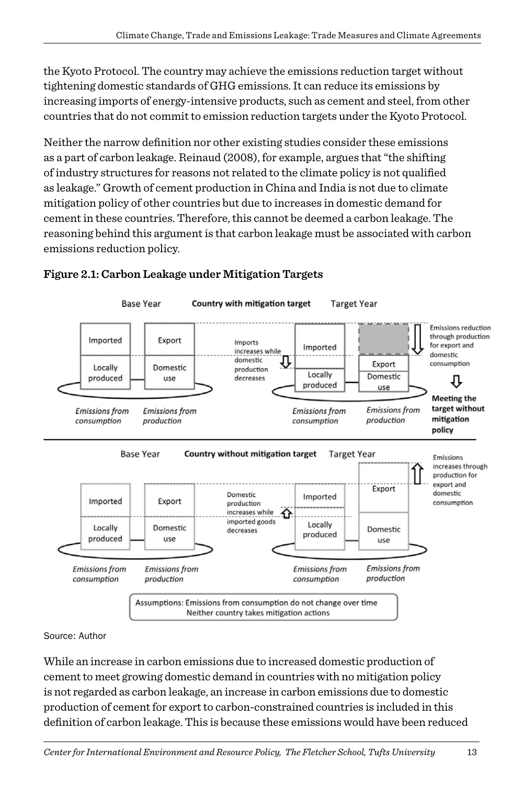the Kyoto Protocol. The country may achieve the emissions reduction target without tightening domestic standards of GHG emissions. It can reduce its emissions by increasing imports of energy-intensive products, such as cement and steel, from other countries that do not commit to emission reduction targets under the Kyoto Protocol.

Neither the narrow definition nor other existing studies consider these emissions as a part of carbon leakage. Reinaud (2008), for example, argues that "the shifting of industry structures for reasons not related to the climate policy is not qualified as leakage." Growth of cement production in China and India is not due to climate mitigation policy of other countries but due to increases in domestic demand for cement in these countries. Therefore, this cannot be deemed a carbon leakage. The reasoning behind this argument is that carbon leakage must be associated with carbon emissions reduction policy.



#### **Figure 2.1: Carbon Leakage under Mitigation Targets**

Source: Author

While an increase in carbon emissions due to increased domestic production of cement to meet growing domestic demand in countries with no mitigation policy is not regarded as carbon leakage, an increase in carbon emissions due to domestic production of cement for export to carbon-constrained countries is included in this definition of carbon leakage. This is because these emissions would have been reduced

*Center for International Environment and Resource Policy, The Fletcher School, Tufts University* 13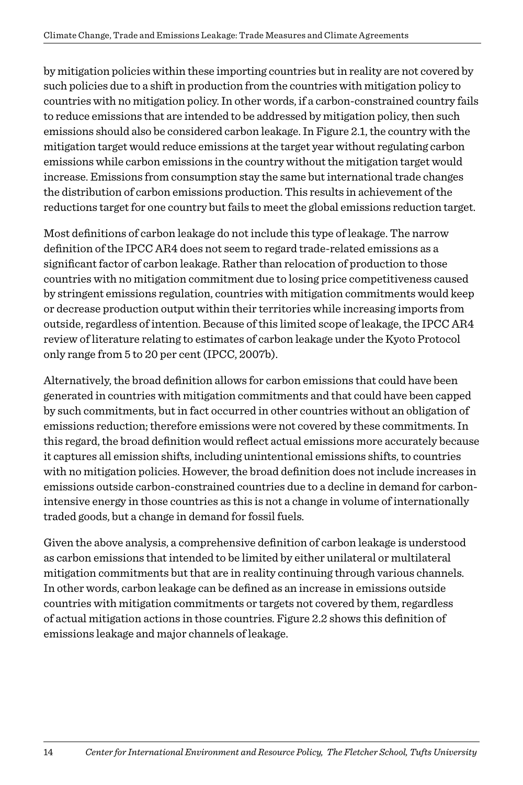by mitigation policies within these importing countries but in reality are not covered by such policies due to a shift in production from the countries with mitigation policy to countries with no mitigation policy. In other words, if a carbon-constrained country fails to reduce emissions that are intended to be addressed by mitigation policy, then such emissions should also be considered carbon leakage. In Figure 2.1, the country with the mitigation target would reduce emissions at the target year without regulating carbon emissions while carbon emissions in the country without the mitigation target would increase. Emissions from consumption stay the same but international trade changes the distribution of carbon emissions production. This results in achievement of the reductions target for one country but fails to meet the global emissions reduction target.

Most definitions of carbon leakage do not include this type of leakage. The narrow definition of the IPCC AR4 does not seem to regard trade-related emissions as a significant factor of carbon leakage. Rather than relocation of production to those countries with no mitigation commitment due to losing price competitiveness caused by stringent emissions regulation, countries with mitigation commitments would keep or decrease production output within their territories while increasing imports from outside, regardless of intention. Because of this limited scope of leakage, the IPCC AR4 review of literature relating to estimates of carbon leakage under the Kyoto Protocol only range from 5 to 20 per cent (IPCC, 2007b).

Alternatively, the broad definition allows for carbon emissions that could have been generated in countries with mitigation commitments and that could have been capped by such commitments, but in fact occurred in other countries without an obligation of emissions reduction; therefore emissions were not covered by these commitments. In this regard, the broad definition would reflect actual emissions more accurately because it captures all emission shifts, including unintentional emissions shifts, to countries with no mitigation policies. However, the broad definition does not include increases in emissions outside carbon-constrained countries due to a decline in demand for carbonintensive energy in those countries as this is not a change in volume of internationally traded goods, but a change in demand for fossil fuels.

Given the above analysis, a comprehensive definition of carbon leakage is understood as carbon emissions that intended to be limited by either unilateral or multilateral mitigation commitments but that are in reality continuing through various channels. In other words, carbon leakage can be defined as an increase in emissions outside countries with mitigation commitments or targets not covered by them, regardless of actual mitigation actions in those countries. Figure 2.2 shows this definition of emissions leakage and major channels of leakage.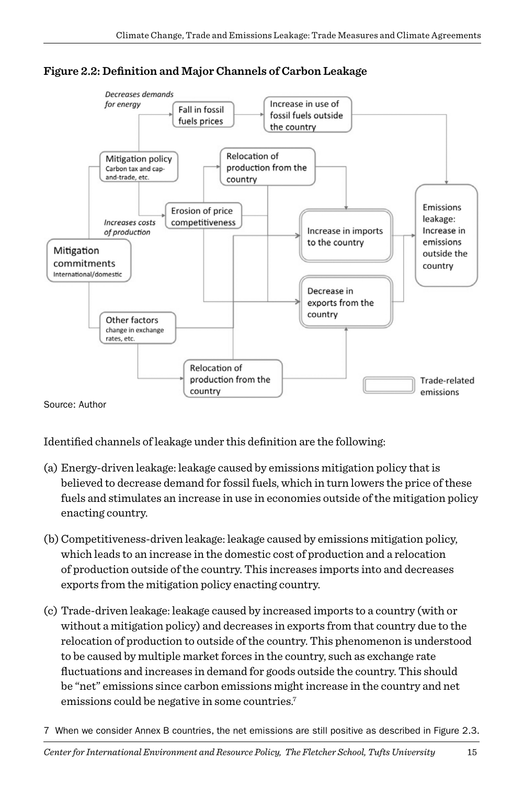



Identified channels of leakage under this definition are the following:

- (a) Energy-driven leakage: leakage caused by emissions mitigation policy that is believed to decrease demand for fossil fuels, which in turn lowers the price of these fuels and stimulates an increase in use in economies outside of the mitigation policy enacting country.
- (b) Competitiveness-driven leakage: leakage caused by emissions mitigation policy, which leads to an increase in the domestic cost of production and a relocation of production outside of the country. This increases imports into and decreases exports from the mitigation policy enacting country.
- (c) Trade-driven leakage: leakage caused by increased imports to a country (with or without a mitigation policy) and decreases in exports from that country due to the relocation of production to outside of the country. This phenomenon is understood to be caused by multiple market forces in the country, such as exchange rate fluctuations and increases in demand for goods outside the country. This should be "net" emissions since carbon emissions might increase in the country and net emissions could be negative in some countries.<sup>7</sup>
- 7 When we consider Annex B countries, the net emissions are still positive as described in Figure 2.3.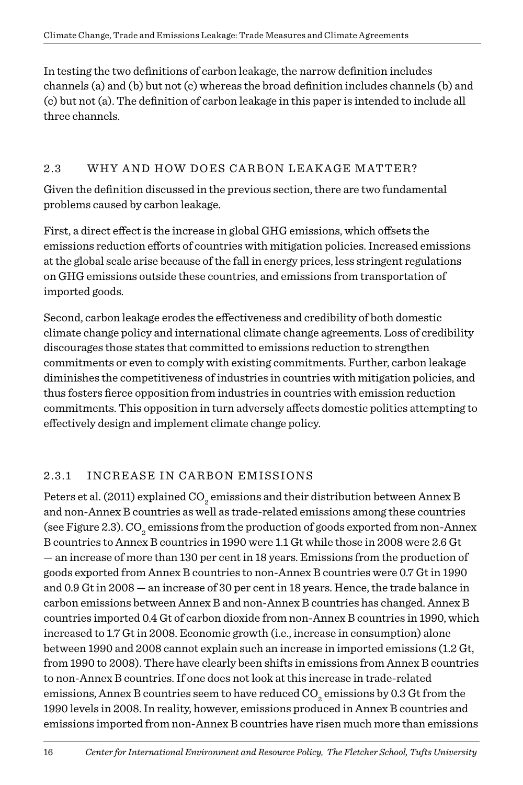In testing the two definitions of carbon leakage, the narrow definition includes channels (a) and (b) but not (c) whereas the broad definition includes channels (b) and (c) but not (a). The definition of carbon leakage in this paper is intended to include all three channels.

#### 2.3 WHY AND HOW DOES CARBON LEAKAGE MATTER?

Given the definition discussed in the previous section, there are two fundamental problems caused by carbon leakage.

First, a direct effect is the increase in global GHG emissions, which offsets the emissions reduction efforts of countries with mitigation policies. Increased emissions at the global scale arise because of the fall in energy prices, less stringent regulations on GHG emissions outside these countries, and emissions from transportation of imported goods.

Second, carbon leakage erodes the effectiveness and credibility of both domestic climate change policy and international climate change agreements. Loss of credibility discourages those states that committed to emissions reduction to strengthen commitments or even to comply with existing commitments. Further, carbon leakage diminishes the competitiveness of industries in countries with mitigation policies, and thus fosters fierce opposition from industries in countries with emission reduction commitments. This opposition in turn adversely affects domestic politics attempting to effectively design and implement climate change policy.

#### 2.3.1 INCREASE IN CARBON EMISSIONS

Peters et al. (2011) explained CO<sub>2</sub> emissions and their distribution between Annex B and non-Annex B countries as well as trade-related emissions among these countries (see Figure 2.3).  $\mathrm{CO}_2$  emissions from the production of goods exported from non-Annex B countries to Annex B countries in 1990 were 1.1 Gt while those in 2008 were 2.6 Gt — an increase of more than 130 per cent in 18 years. Emissions from the production of goods exported from Annex B countries to non-Annex B countries were 0.7 Gt in 1990 and 0.9 Gt in 2008 — an increase of 30 per cent in 18 years. Hence, the trade balance in carbon emissions between Annex B and non-Annex B countries has changed. Annex B countries imported 0.4 Gt of carbon dioxide from non-Annex B countries in 1990, which increased to 1.7 Gt in 2008. Economic growth (i.e., increase in consumption) alone between 1990 and 2008 cannot explain such an increase in imported emissions (1.2 Gt, from 1990 to 2008). There have clearly been shifts in emissions from Annex B countries to non-Annex B countries. If one does not look at this increase in trade-related emissions, Annex B countries seem to have reduced CO<sub>2</sub> emissions by 0.3 Gt from the 1990 levels in 2008. In reality, however, emissions produced in Annex B countries and emissions imported from non-Annex B countries have risen much more than emissions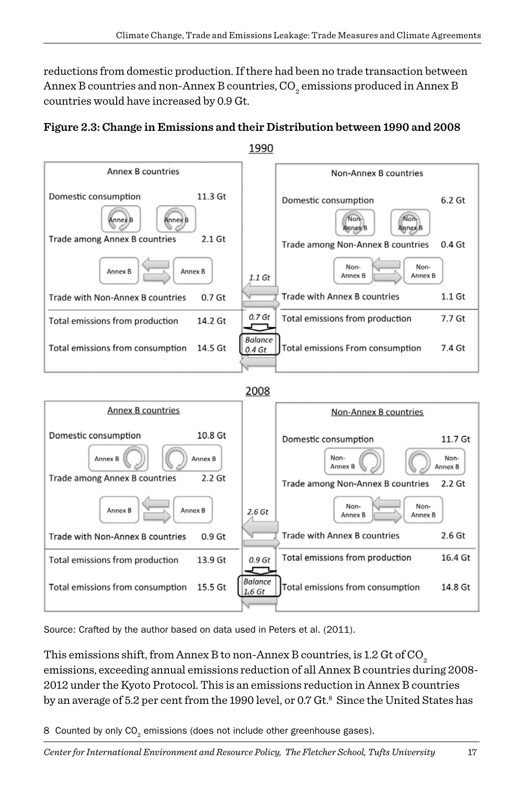reductions from domestic production. If there had been no trade transaction between Annex B countries and non-Annex B countries,  $\mathrm{CO}_2^{}$  emissions produced in Annex B countries would have increased by 0.9 Gt.





Source: Crafted by the author based on data used in Peters et al. (2011).

This emissions shift, from Annex B to non-Annex B countries, is 1.2 Gt of CO<sub>2</sub> emissions, exceeding annual emissions reduction of all Annex B countries during 2008- 2012 under the Kyoto Protocol. This is an emissions reduction in Annex B countries by an average of 5.2 per cent from the 1990 level, or 0.7 Gt.<sup>8</sup> Since the United States has

8 Counted by only  $CO<sub>2</sub>$  emissions (does not include other greenhouse gases).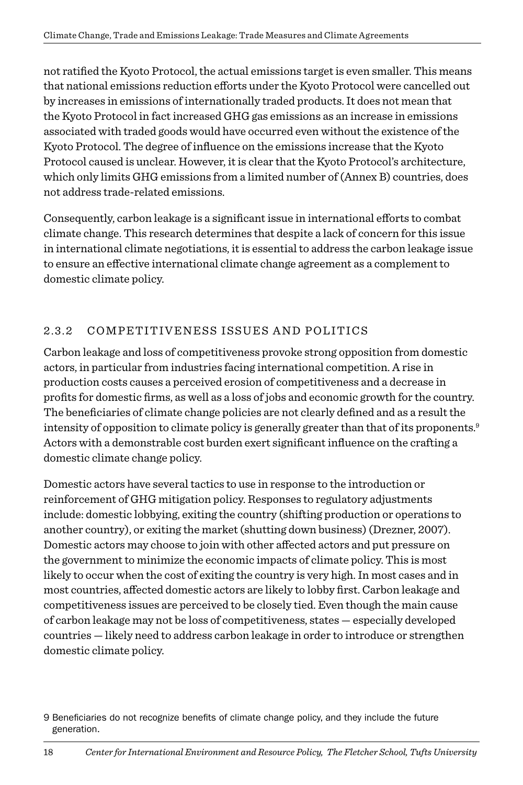not ratified the Kyoto Protocol, the actual emissions target is even smaller. This means that national emissions reduction efforts under the Kyoto Protocol were cancelled out by increases in emissions of internationally traded products. It does not mean that the Kyoto Protocol in fact increased GHG gas emissions as an increase in emissions associated with traded goods would have occurred even without the existence of the Kyoto Protocol. The degree of influence on the emissions increase that the Kyoto Protocol caused is unclear. However, it is clear that the Kyoto Protocol's architecture, which only limits GHG emissions from a limited number of (Annex B) countries, does not address trade-related emissions.

Consequently, carbon leakage is a significant issue in international efforts to combat climate change. This research determines that despite a lack of concern for this issue in international climate negotiations, it is essential to address the carbon leakage issue to ensure an effective international climate change agreement as a complement to domestic climate policy.

#### 2.3.2 COMPETITIVENESS ISSUES AND POLITICS

Carbon leakage and loss of competitiveness provoke strong opposition from domestic actors, in particular from industries facing international competition. A rise in production costs causes a perceived erosion of competitiveness and a decrease in profits for domestic firms, as well as a loss of jobs and economic growth for the country. The beneficiaries of climate change policies are not clearly defined and as a result the intensity of opposition to climate policy is generally greater than that of its proponents.<sup>9</sup> Actors with a demonstrable cost burden exert significant influence on the crafting a domestic climate change policy.

Domestic actors have several tactics to use in response to the introduction or reinforcement of GHG mitigation policy. Responses to regulatory adjustments include: domestic lobbying, exiting the country (shifting production or operations to another country), or exiting the market (shutting down business) (Drezner, 2007). Domestic actors may choose to join with other affected actors and put pressure on the government to minimize the economic impacts of climate policy. This is most likely to occur when the cost of exiting the country is very high. In most cases and in most countries, affected domestic actors are likely to lobby first. Carbon leakage and competitiveness issues are perceived to be closely tied. Even though the main cause of carbon leakage may not be loss of competitiveness, states — especially developed countries — likely need to address carbon leakage in order to introduce or strengthen domestic climate policy.

<sup>9</sup> Beneficiaries do not recognize benefits of climate change policy, and they include the future generation.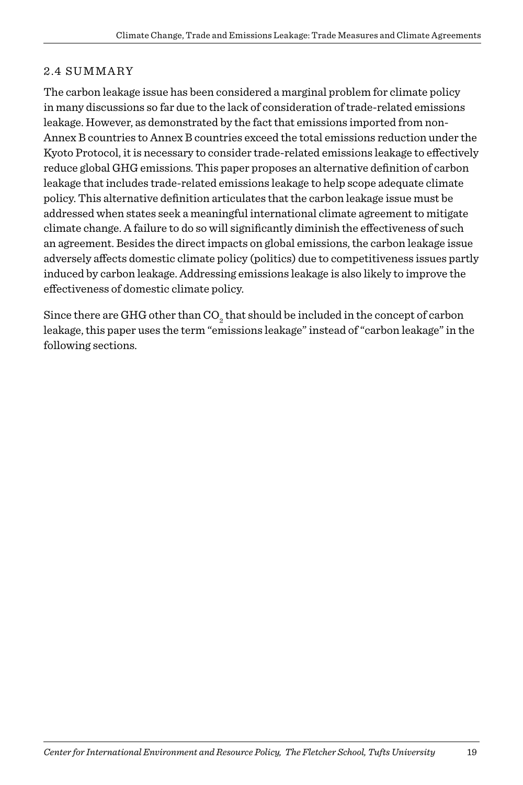#### 2.4 Summary

The carbon leakage issue has been considered a marginal problem for climate policy in many discussions so far due to the lack of consideration of trade-related emissions leakage. However, as demonstrated by the fact that emissions imported from non-Annex B countries to Annex B countries exceed the total emissions reduction under the Kyoto Protocol, it is necessary to consider trade-related emissions leakage to effectively reduce global GHG emissions. This paper proposes an alternative definition of carbon leakage that includes trade-related emissions leakage to help scope adequate climate policy. This alternative definition articulates that the carbon leakage issue must be addressed when states seek a meaningful international climate agreement to mitigate climate change. A failure to do so will significantly diminish the effectiveness of such an agreement. Besides the direct impacts on global emissions, the carbon leakage issue adversely affects domestic climate policy (politics) due to competitiveness issues partly induced by carbon leakage. Addressing emissions leakage is also likely to improve the effectiveness of domestic climate policy.

Since there are GHG other than  $\mathrm{CO}_2^{}$  that should be included in the concept of carbon leakage, this paper uses the term "emissions leakage" instead of "carbon leakage" in the following sections.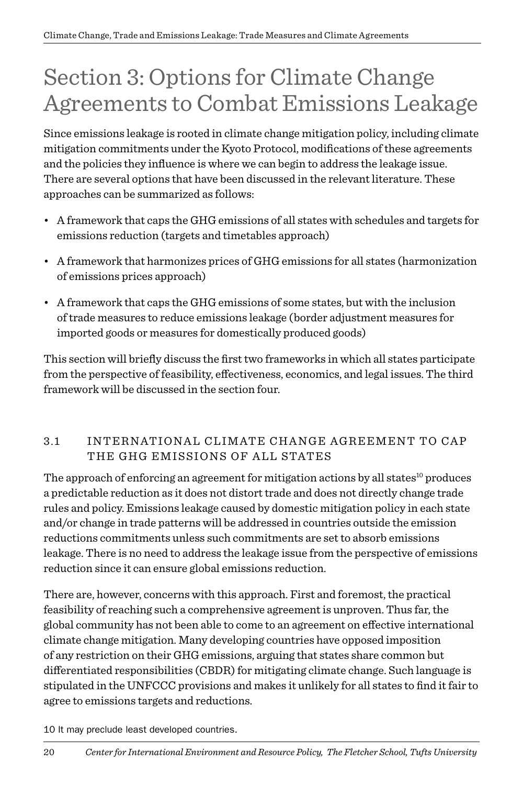## Section 3: Options for Climate Change Agreements to Combat Emissions Leakage

Since emissions leakage is rooted in climate change mitigation policy, including climate mitigation commitments under the Kyoto Protocol, modifications of these agreements and the policies they influence is where we can begin to address the leakage issue. There are several options that have been discussed in the relevant literature. These approaches can be summarized as follows:

- A framework that caps the GHG emissions of all states with schedules and targets for emissions reduction (targets and timetables approach)
- A framework that harmonizes prices of GHG emissions for all states (harmonization of emissions prices approach)
- A framework that caps the GHG emissions of some states, but with the inclusion of trade measures to reduce emissions leakage (border adjustment measures for imported goods or measures for domestically produced goods)

This section will briefly discuss the first two frameworks in which all states participate from the perspective of feasibility, effectiveness, economics, and legal issues. The third framework will be discussed in the section four.

#### 3.1 INTERNATIONAL CLIMATE CHANGE AGREEMENT TO CAP THE GHG EMISSIONS OF ALL STATES

The approach of enforcing an agreement for mitigation actions by all states<sup>10</sup> produces a predictable reduction as it does not distort trade and does not directly change trade rules and policy. Emissions leakage caused by domestic mitigation policy in each state and/or change in trade patterns will be addressed in countries outside the emission reductions commitments unless such commitments are set to absorb emissions leakage. There is no need to address the leakage issue from the perspective of emissions reduction since it can ensure global emissions reduction.

There are, however, concerns with this approach. First and foremost, the practical feasibility of reaching such a comprehensive agreement is unproven. Thus far, the global community has not been able to come to an agreement on effective international climate change mitigation. Many developing countries have opposed imposition of any restriction on their GHG emissions, arguing that states share common but differentiated responsibilities (CBDR) for mitigating climate change. Such language is stipulated in the UNFCCC provisions and makes it unlikely for all states to find it fair to agree to emissions targets and reductions.

10 It may preclude least developed countries.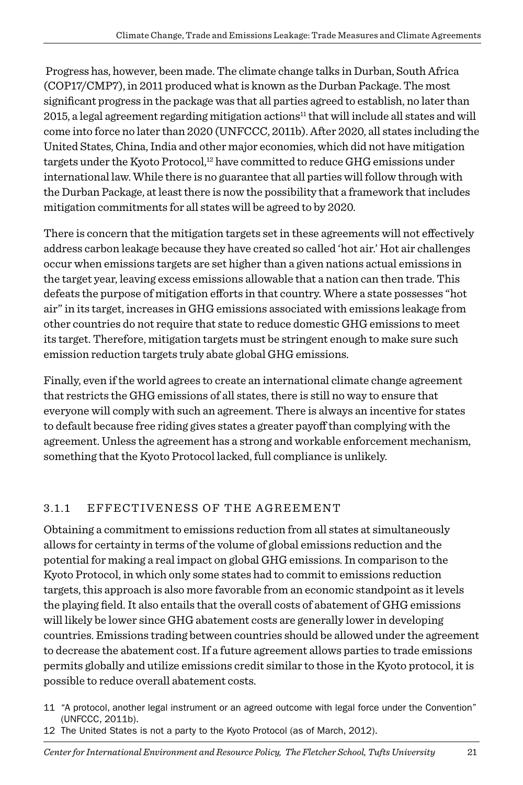Progress has, however, been made. The climate change talks in Durban, South Africa (COP17/CMP7), in 2011 produced what is known as the Durban Package. The most significant progress in the package was that all parties agreed to establish, no later than 2015, a legal agreement regarding mitigation actions<sup>11</sup> that will include all states and will come into force no later than 2020 (UNFCCC, 2011b). After 2020, all states including the United States, China, India and other major economies, which did not have mitigation targets under the Kyoto Protocol, $12$  have committed to reduce GHG emissions under international law. While there is no guarantee that all parties will follow through with the Durban Package, at least there is now the possibility that a framework that includes mitigation commitments for all states will be agreed to by 2020.

There is concern that the mitigation targets set in these agreements will not effectively address carbon leakage because they have created so called 'hot air.' Hot air challenges occur when emissions targets are set higher than a given nations actual emissions in the target year, leaving excess emissions allowable that a nation can then trade. This defeats the purpose of mitigation efforts in that country. Where a state possesses "hot air" in its target, increases in GHG emissions associated with emissions leakage from other countries do not require that state to reduce domestic GHG emissions to meet its target. Therefore, mitigation targets must be stringent enough to make sure such emission reduction targets truly abate global GHG emissions.

Finally, even if the world agrees to create an international climate change agreement that restricts the GHG emissions of all states, there is still no way to ensure that everyone will comply with such an agreement. There is always an incentive for states to default because free riding gives states a greater payoff than complying with the agreement. Unless the agreement has a strong and workable enforcement mechanism, something that the Kyoto Protocol lacked, full compliance is unlikely.

#### 3.1.1 Effectiveness of the Agreement

Obtaining a commitment to emissions reduction from all states at simultaneously allows for certainty in terms of the volume of global emissions reduction and the potential for making a real impact on global GHG emissions. In comparison to the Kyoto Protocol, in which only some states had to commit to emissions reduction targets, this approach is also more favorable from an economic standpoint as it levels the playing field. It also entails that the overall costs of abatement of GHG emissions will likely be lower since GHG abatement costs are generally lower in developing countries. Emissions trading between countries should be allowed under the agreement to decrease the abatement cost. If a future agreement allows parties to trade emissions permits globally and utilize emissions credit similar to those in the Kyoto protocol, it is possible to reduce overall abatement costs.

- 11 "A protocol, another legal instrument or an agreed outcome with legal force under the Convention" (UNFCCC, 2011b).
- 12 The United States is not a party to the Kyoto Protocol (as of March, 2012).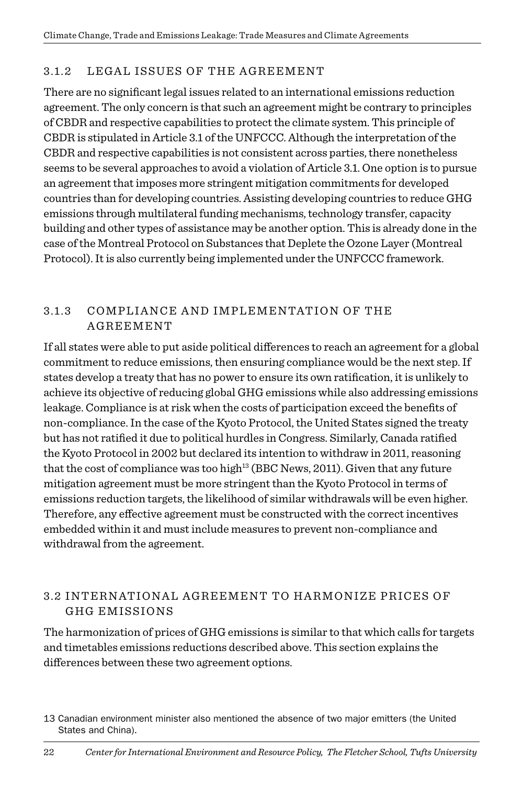#### 3.1.2 LEGAL ISSUES OF THE AGREEMENT

There are no significant legal issues related to an international emissions reduction agreement. The only concern is that such an agreement might be contrary to principles of CBDR and respective capabilities to protect the climate system. This principle of CBDR is stipulated in Article 3.1 of the UNFCCC. Although the interpretation of the CBDR and respective capabilities is not consistent across parties, there nonetheless seems to be several approaches to avoid a violation of Article 3.1. One option is to pursue an agreement that imposes more stringent mitigation commitments for developed countries than for developing countries. Assisting developing countries to reduce GHG emissions through multilateral funding mechanisms, technology transfer, capacity building and other types of assistance may be another option. This is already done in the case of the Montreal Protocol on Substances that Deplete the Ozone Layer (Montreal Protocol). It is also currently being implemented under the UNFCCC framework.

#### 3.1.3 Compliance and Implementation of the Agreement

If all states were able to put aside political differences to reach an agreement for a global commitment to reduce emissions, then ensuring compliance would be the next step. If states develop a treaty that has no power to ensure its own ratification, it is unlikely to achieve its objective of reducing global GHG emissions while also addressing emissions leakage. Compliance is at risk when the costs of participation exceed the benefits of non-compliance. In the case of the Kyoto Protocol, the United States signed the treaty but has not ratified it due to political hurdles in Congress. Similarly, Canada ratified the Kyoto Protocol in 2002 but declared its intention to withdraw in 2011, reasoning that the cost of compliance was too high<sup>13</sup> (BBC News, 2011). Given that any future mitigation agreement must be more stringent than the Kyoto Protocol in terms of emissions reduction targets, the likelihood of similar withdrawals will be even higher. Therefore, any effective agreement must be constructed with the correct incentives embedded within it and must include measures to prevent non-compliance and withdrawal from the agreement.

#### 3.2 International Agreement to Harmonize Prices of GHG Em issions

The harmonization of prices of GHG emissions is similar to that which calls for targets and timetables emissions reductions described above. This section explains the differences between these two agreement options.

<sup>13</sup> Canadian environment minister also mentioned the absence of two major emitters (the United States and China).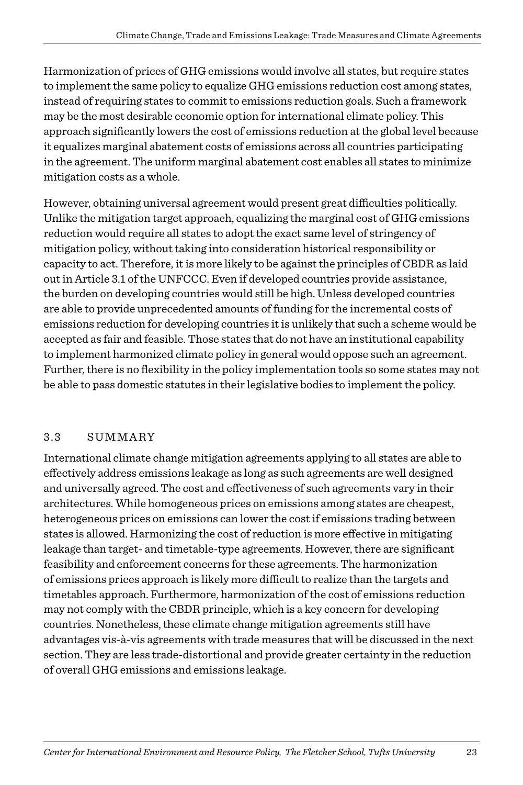Harmonization of prices of GHG emissions would involve all states, but require states to implement the same policy to equalize GHG emissions reduction cost among states, instead of requiring states to commit to emissions reduction goals. Such a framework may be the most desirable economic option for international climate policy. This approach significantly lowers the cost of emissions reduction at the global level because it equalizes marginal abatement costs of emissions across all countries participating in the agreement. The uniform marginal abatement cost enables all states to minimize mitigation costs as a whole.

However, obtaining universal agreement would present great difficulties politically. Unlike the mitigation target approach, equalizing the marginal cost of GHG emissions reduction would require all states to adopt the exact same level of stringency of mitigation policy, without taking into consideration historical responsibility or capacity to act. Therefore, it is more likely to be against the principles of CBDR as laid out in Article 3.1 of the UNFCCC. Even if developed countries provide assistance, the burden on developing countries would still be high. Unless developed countries are able to provide unprecedented amounts of funding for the incremental costs of emissions reduction for developing countries it is unlikely that such a scheme would be accepted as fair and feasible. Those states that do not have an institutional capability to implement harmonized climate policy in general would oppose such an agreement. Further, there is no flexibility in the policy implementation tools so some states may not be able to pass domestic statutes in their legislative bodies to implement the policy.

#### 3.3 Summary

International climate change mitigation agreements applying to all states are able to effectively address emissions leakage as long as such agreements are well designed and universally agreed. The cost and effectiveness of such agreements vary in their architectures. While homogeneous prices on emissions among states are cheapest, heterogeneous prices on emissions can lower the cost if emissions trading between states is allowed. Harmonizing the cost of reduction is more effective in mitigating leakage than target- and timetable-type agreements. However, there are significant feasibility and enforcement concerns for these agreements. The harmonization of emissions prices approach is likely more difficult to realize than the targets and timetables approach. Furthermore, harmonization of the cost of emissions reduction may not comply with the CBDR principle, which is a key concern for developing countries. Nonetheless, these climate change mitigation agreements still have advantages vis-à-vis agreements with trade measures that will be discussed in the next section. They are less trade-distortional and provide greater certainty in the reduction of overall GHG emissions and emissions leakage.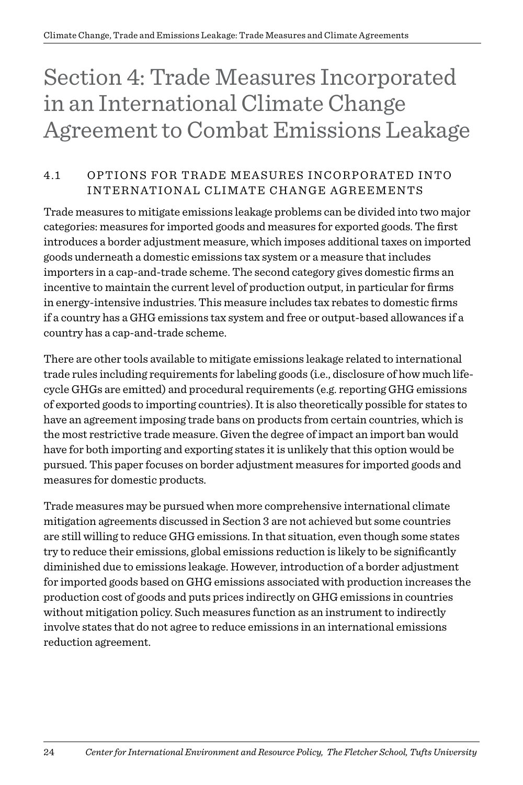## Section 4: Trade Measures Incorporated in an International Climate Change Agreement to Combat Emissions Leakage

#### 4.1 OPTIONS FOR TRADE MEASURES INCORPORATED INTO INTERNATIONAL CLIMATE CHANGE AGREEMENTS

Trade measures to mitigate emissions leakage problems can be divided into two major categories: measures for imported goods and measures for exported goods. The first introduces a border adjustment measure, which imposes additional taxes on imported goods underneath a domestic emissions tax system or a measure that includes importers in a cap-and-trade scheme. The second category gives domestic firms an incentive to maintain the current level of production output, in particular for firms in energy-intensive industries. This measure includes tax rebates to domestic firms if a country has a GHG emissions tax system and free or output-based allowances if a country has a cap-and-trade scheme.

There are other tools available to mitigate emissions leakage related to international trade rules including requirements for labeling goods (i.e., disclosure of how much lifecycle GHGs are emitted) and procedural requirements (e.g. reporting GHG emissions of exported goods to importing countries). It is also theoretically possible for states to have an agreement imposing trade bans on products from certain countries, which is the most restrictive trade measure. Given the degree of impact an import ban would have for both importing and exporting states it is unlikely that this option would be pursued. This paper focuses on border adjustment measures for imported goods and measures for domestic products.

Trade measures may be pursued when more comprehensive international climate mitigation agreements discussed in Section 3 are not achieved but some countries are still willing to reduce GHG emissions. In that situation, even though some states try to reduce their emissions, global emissions reduction is likely to be significantly diminished due to emissions leakage. However, introduction of a border adjustment for imported goods based on GHG emissions associated with production increases the production cost of goods and puts prices indirectly on GHG emissions in countries without mitigation policy. Such measures function as an instrument to indirectly involve states that do not agree to reduce emissions in an international emissions reduction agreement.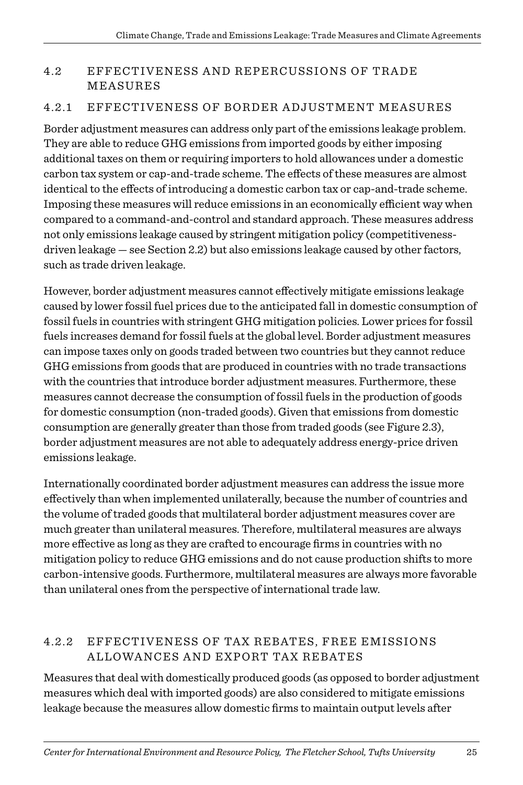#### 4.2 EFFECTIVENESS AND REPERCUSSIONS OF TRADE **MEASURES**

#### 4.2.1 EFFECTIVENESS OF BORDER ADJUSTMENT MEASURES

Border adjustment measures can address only part of the emissions leakage problem. They are able to reduce GHG emissions from imported goods by either imposing additional taxes on them or requiring importers to hold allowances under a domestic carbon tax system or cap-and-trade scheme. The effects of these measures are almost identical to the effects of introducing a domestic carbon tax or cap-and-trade scheme. Imposing these measures will reduce emissions in an economically efficient way when compared to a command-and-control and standard approach. These measures address not only emissions leakage caused by stringent mitigation policy (competitivenessdriven leakage — see Section 2.2) but also emissions leakage caused by other factors, such as trade driven leakage.

However, border adjustment measures cannot effectively mitigate emissions leakage caused by lower fossil fuel prices due to the anticipated fall in domestic consumption of fossil fuels in countries with stringent GHG mitigation policies. Lower prices for fossil fuels increases demand for fossil fuels at the global level. Border adjustment measures can impose taxes only on goods traded between two countries but they cannot reduce GHG emissions from goods that are produced in countries with no trade transactions with the countries that introduce border adjustment measures. Furthermore, these measures cannot decrease the consumption of fossil fuels in the production of goods for domestic consumption (non-traded goods). Given that emissions from domestic consumption are generally greater than those from traded goods (see Figure 2.3), border adjustment measures are not able to adequately address energy-price driven emissions leakage.

Internationally coordinated border adjustment measures can address the issue more effectively than when implemented unilaterally, because the number of countries and the volume of traded goods that multilateral border adjustment measures cover are much greater than unilateral measures. Therefore, multilateral measures are always more effective as long as they are crafted to encourage firms in countries with no mitigation policy to reduce GHG emissions and do not cause production shifts to more carbon-intensive goods. Furthermore, multilateral measures are always more favorable than unilateral ones from the perspective of international trade law.

#### 4.2.2 Effectiveness of Tax Rebates, Free Em issions Allowances and Export Tax Rebates

Measures that deal with domestically produced goods (as opposed to border adjustment measures which deal with imported goods) are also considered to mitigate emissions leakage because the measures allow domestic firms to maintain output levels after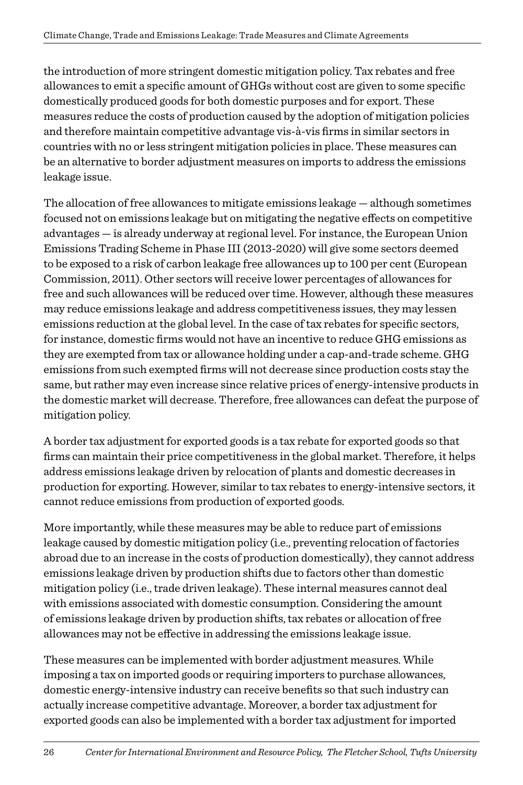the introduction of more stringent domestic mitigation policy. Tax rebates and free allowances to emit a specific amount of GHGs without cost are given to some specific domestically produced goods for both domestic purposes and for export. These measures reduce the costs of production caused by the adoption of mitigation policies and therefore maintain competitive advantage vis-à-vis firms in similar sectors in countries with no or less stringent mitigation policies in place. These measures can be an alternative to border adjustment measures on imports to address the emissions leakage issue.

The allocation of free allowances to mitigate emissions leakage — although sometimes focused not on emissions leakage but on mitigating the negative effects on competitive advantages — is already underway at regional level. For instance, the European Union Emissions Trading Scheme in Phase III (2013-2020) will give some sectors deemed to be exposed to a risk of carbon leakage free allowances up to 100 per cent (European Commission, 2011). Other sectors will receive lower percentages of allowances for free and such allowances will be reduced over time. However, although these measures may reduce emissions leakage and address competitiveness issues, they may lessen emissions reduction at the global level. In the case of tax rebates for specific sectors, for instance, domestic firms would not have an incentive to reduce GHG emissions as they are exempted from tax or allowance holding under a cap-and-trade scheme. GHG emissions from such exempted firms will not decrease since production costs stay the same, but rather may even increase since relative prices of energy-intensive products in the domestic market will decrease. Therefore, free allowances can defeat the purpose of mitigation policy.

A border tax adjustment for exported goods is a tax rebate for exported goods so that firms can maintain their price competitiveness in the global market. Therefore, it helps address emissions leakage driven by relocation of plants and domestic decreases in production for exporting. However, similar to tax rebates to energy-intensive sectors, it cannot reduce emissions from production of exported goods.

More importantly, while these measures may be able to reduce part of emissions leakage caused by domestic mitigation policy (i.e., preventing relocation of factories abroad due to an increase in the costs of production domestically), they cannot address emissions leakage driven by production shifts due to factors other than domestic mitigation policy (i.e., trade driven leakage). These internal measures cannot deal with emissions associated with domestic consumption. Considering the amount of emissions leakage driven by production shifts, tax rebates or allocation of free allowances may not be effective in addressing the emissions leakage issue.

These measures can be implemented with border adjustment measures. While imposing a tax on imported goods or requiring importers to purchase allowances, domestic energy-intensive industry can receive benefits so that such industry can actually increase competitive advantage. Moreover, a border tax adjustment for exported goods can also be implemented with a border tax adjustment for imported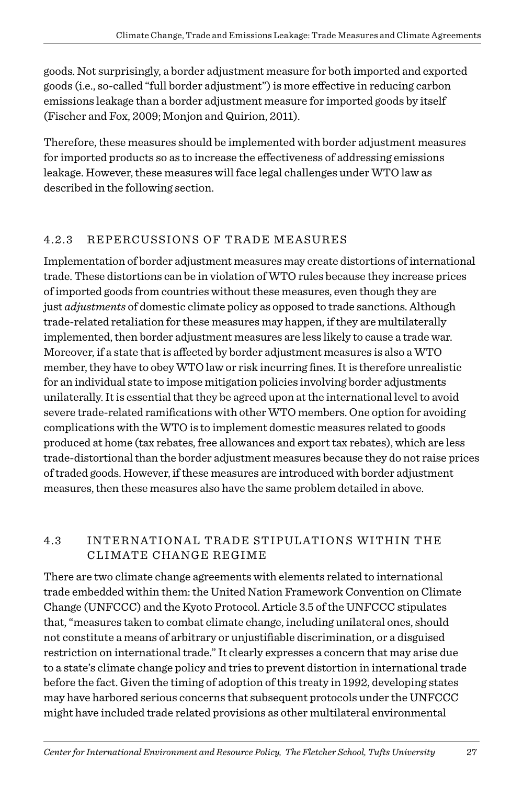goods. Not surprisingly, a border adjustment measure for both imported and exported goods (i.e., so-called "full border adjustment") is more effective in reducing carbon emissions leakage than a border adjustment measure for imported goods by itself (Fischer and Fox, 2009; Monjon and Quirion, 2011).

Therefore, these measures should be implemented with border adjustment measures for imported products so as to increase the effectiveness of addressing emissions leakage. However, these measures will face legal challenges under WTO law as described in the following section.

#### 4.2.3 REPERCUSSIONS OF TRADE MEASURES

Implementation of border adjustment measures may create distortions of international trade. These distortions can be in violation of WTO rules because they increase prices of imported goods from countries without these measures, even though they are just *adjustments* of domestic climate policy as opposed to trade sanctions. Although trade-related retaliation for these measures may happen, if they are multilaterally implemented, then border adjustment measures are less likely to cause a trade war. Moreover, if a state that is affected by border adjustment measures is also a WTO member, they have to obey WTO law or risk incurring fines. It is therefore unrealistic for an individual state to impose mitigation policies involving border adjustments unilaterally. It is essential that they be agreed upon at the international level to avoid severe trade-related ramifications with other WTO members. One option for avoiding complications with the WTO is to implement domestic measures related to goods produced at home (tax rebates, free allowances and export tax rebates), which are less trade-distortional than the border adjustment measures because they do not raise prices of traded goods. However, if these measures are introduced with border adjustment measures, then these measures also have the same problem detailed in above.

#### 4.3 INTERNATIONAL TRADE STIPULATIONS WITHIN THE CLIMATE CHANGE REGIME

There are two climate change agreements with elements related to international trade embedded within them: the United Nation Framework Convention on Climate Change (UNFCCC) and the Kyoto Protocol. Article 3.5 of the UNFCCC stipulates that, "measures taken to combat climate change, including unilateral ones, should not constitute a means of arbitrary or unjustifiable discrimination, or a disguised restriction on international trade." It clearly expresses a concern that may arise due to a state's climate change policy and tries to prevent distortion in international trade before the fact. Given the timing of adoption of this treaty in 1992, developing states may have harbored serious concerns that subsequent protocols under the UNFCCC might have included trade related provisions as other multilateral environmental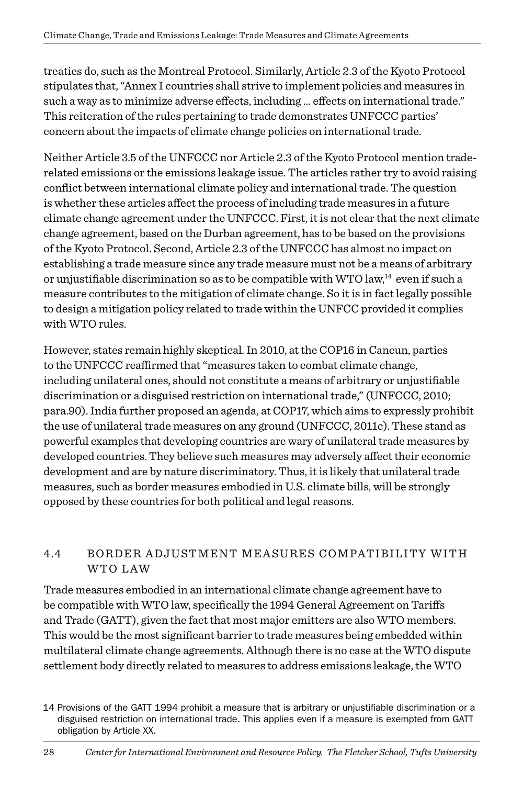treaties do, such as the Montreal Protocol. Similarly, Article 2.3 of the Kyoto Protocol stipulates that, "Annex I countries shall strive to implement policies and measures in such a way as to minimize adverse effects, including ... effects on international trade." This reiteration of the rules pertaining to trade demonstrates UNFCCC parties' concern about the impacts of climate change policies on international trade.

Neither Article 3.5 of the UNFCCC nor Article 2.3 of the Kyoto Protocol mention traderelated emissions or the emissions leakage issue. The articles rather try to avoid raising conflict between international climate policy and international trade. The question is whether these articles affect the process of including trade measures in a future climate change agreement under the UNFCCC. First, it is not clear that the next climate change agreement, based on the Durban agreement, has to be based on the provisions of the Kyoto Protocol. Second, Article 2.3 of the UNFCCC has almost no impact on establishing a trade measure since any trade measure must not be a means of arbitrary or unjustifiable discrimination so as to be compatible with WTO law, $^{14}$  even if such a measure contributes to the mitigation of climate change. So it is in fact legally possible to design a mitigation policy related to trade within the UNFCC provided it complies with WTO rules.

However, states remain highly skeptical. In 2010, at the COP16 in Cancun, parties to the UNFCCC reaffirmed that "measures taken to combat climate change, including unilateral ones, should not constitute a means of arbitrary or unjustifiable discrimination or a disguised restriction on international trade," (UNFCCC, 2010; para.90). India further proposed an agenda, at COP17, which aims to expressly prohibit the use of unilateral trade measures on any ground (UNFCCC, 2011c). These stand as powerful examples that developing countries are wary of unilateral trade measures by developed countries. They believe such measures may adversely affect their economic development and are by nature discriminatory. Thus, it is likely that unilateral trade measures, such as border measures embodied in U.S. climate bills, will be strongly opposed by these countries for both political and legal reasons.

#### 4.4 BORDER ADJUSTMENT MEASURES COMPATIBILITY WITH WTO Law

Trade measures embodied in an international climate change agreement have to be compatible with WTO law, specifically the 1994 General Agreement on Tariffs and Trade (GATT), given the fact that most major emitters are also WTO members. This would be the most significant barrier to trade measures being embedded within multilateral climate change agreements. Although there is no case at the WTO dispute settlement body directly related to measures to address emissions leakage, the WTO

<sup>14</sup> Provisions of the GATT 1994 prohibit a measure that is arbitrary or unjustifiable discrimination or a disguised restriction on international trade. This applies even if a measure is exempted from GATT obligation by Article XX.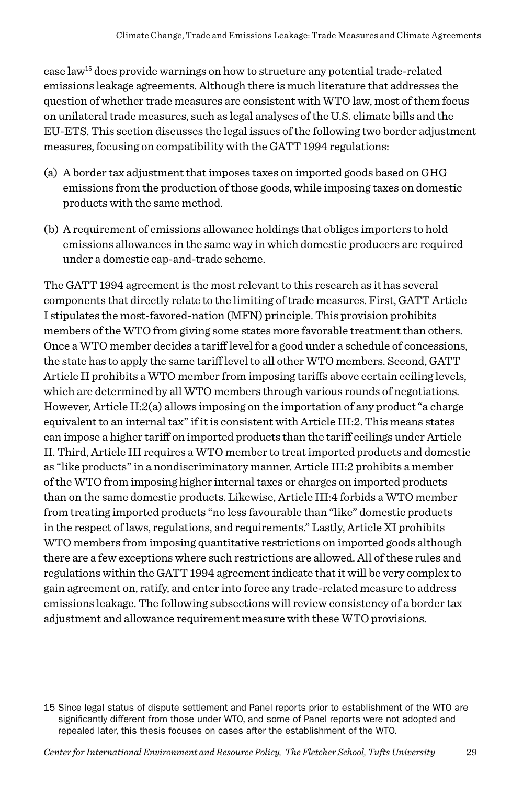case law15 does provide warnings on how to structure any potential trade-related emissions leakage agreements. Although there is much literature that addresses the question of whether trade measures are consistent with WTO law, most of them focus on unilateral trade measures, such as legal analyses of the U.S. climate bills and the EU-ETS. This section discusses the legal issues of the following two border adjustment measures, focusing on compatibility with the GATT 1994 regulations:

- (a) A border tax adjustment that imposes taxes on imported goods based on GHG emissions from the production of those goods, while imposing taxes on domestic products with the same method.
- (b) A requirement of emissions allowance holdings that obliges importers to hold emissions allowances in the same way in which domestic producers are required under a domestic cap-and-trade scheme.

The GATT 1994 agreement is the most relevant to this research as it has several components that directly relate to the limiting of trade measures. First, GATT Article I stipulates the most-favored-nation (MFN) principle. This provision prohibits members of the WTO from giving some states more favorable treatment than others. Once a WTO member decides a tariff level for a good under a schedule of concessions, the state has to apply the same tariff level to all other WTO members. Second, GATT Article II prohibits a WTO member from imposing tariffs above certain ceiling levels, which are determined by all WTO members through various rounds of negotiations. However, Article II:2(a) allows imposing on the importation of any product "a charge equivalent to an internal tax" if it is consistent with Article III:2. This means states can impose a higher tariff on imported products than the tariff ceilings under Article II. Third, Article III requires a WTO member to treat imported products and domestic as "like products" in a nondiscriminatory manner. Article III:2 prohibits a member of the WTO from imposing higher internal taxes or charges on imported products than on the same domestic products. Likewise, Article III:4 forbids a WTO member from treating imported products "no less favourable than "like" domestic products in the respect of laws, regulations, and requirements." Lastly, Article XI prohibits WTO members from imposing quantitative restrictions on imported goods although there are a few exceptions where such restrictions are allowed. All of these rules and regulations within the GATT 1994 agreement indicate that it will be very complex to gain agreement on, ratify, and enter into force any trade-related measure to address emissions leakage. The following subsections will review consistency of a border tax adjustment and allowance requirement measure with these WTO provisions.

15 Since legal status of dispute settlement and Panel reports prior to establishment of the WTO are significantly different from those under WTO, and some of Panel reports were not adopted and repealed later, this thesis focuses on cases after the establishment of the WTO.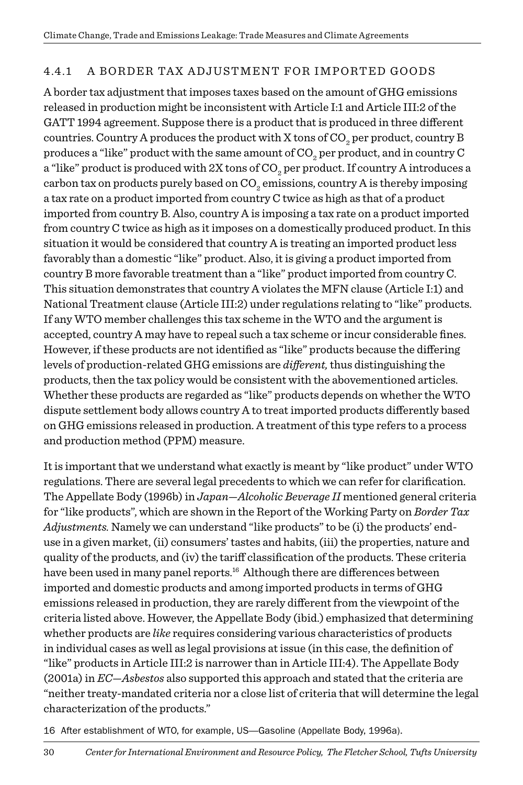#### 4.4.1 A BORDER TAX ADJUSTMENT FOR IMPORTED GOODS

A border tax adjustment that imposes taxes based on the amount of GHG emissions released in production might be inconsistent with Article I:1 and Article III:2 of the GATT 1994 agreement. Suppose there is a product that is produced in three different countries. Country A produces the product with X tons of CO $_{\tiny 2}$  per product, country B produces a "like" product with the same amount of CO<sub>2</sub> per product, and in country C a "like" product is produced with 2X tons of CO<sub>2</sub> per product. If country A introduces a carbon tax on products purely based on  $\mathrm{CO}_2$  emissions, country A is thereby imposing a tax rate on a product imported from country C twice as high as that of a product imported from country B. Also, country A is imposing a tax rate on a product imported from country C twice as high as it imposes on a domestically produced product. In this situation it would be considered that country A is treating an imported product less favorably than a domestic "like" product. Also, it is giving a product imported from country B more favorable treatment than a "like" product imported from country C. This situation demonstrates that country A violates the MFN clause (Article I:1) and National Treatment clause (Article III:2) under regulations relating to "like" products. If any WTO member challenges this tax scheme in the WTO and the argument is accepted, country A may have to repeal such a tax scheme or incur considerable fines. However, if these products are not identified as "like" products because the differing levels of production-related GHG emissions are *different,* thus distinguishing the products, then the tax policy would be consistent with the abovementioned articles. Whether these products are regarded as "like" products depends on whether the WTO dispute settlement body allows country A to treat imported products differently based on GHG emissions released in production. A treatment of this type refers to a process and production method (PPM) measure.

It is important that we understand what exactly is meant by "like product" under WTO regulations. There are several legal precedents to which we can refer for clarification. The Appellate Body (1996b) in *Japan—Alcoholic Beverage II* mentioned general criteria for "like products", which are shown in the Report of the Working Party on *Border Tax Adjustments.* Namely we can understand "like products" to be (i) the products' enduse in a given market, (ii) consumers' tastes and habits, (iii) the properties, nature and quality of the products, and (iv) the tariff classification of the products. These criteria have been used in many panel reports.<sup>16</sup> Although there are differences between imported and domestic products and among imported products in terms of GHG emissions released in production, they are rarely different from the viewpoint of the criteria listed above. However, the Appellate Body (ibid.) emphasized that determining whether products are *like* requires considering various characteristics of products in individual cases as well as legal provisions at issue (in this case, the definition of "like" products in Article III:2 is narrower than in Article III:4). The Appellate Body (2001a) in *EC—Asbestos* also supported this approach and stated that the criteria are "neither treaty-mandated criteria nor a close list of criteria that will determine the legal characterization of the products."

16 After establishment of WTO, for example, US—Gasoline (Appellate Body, 1996a).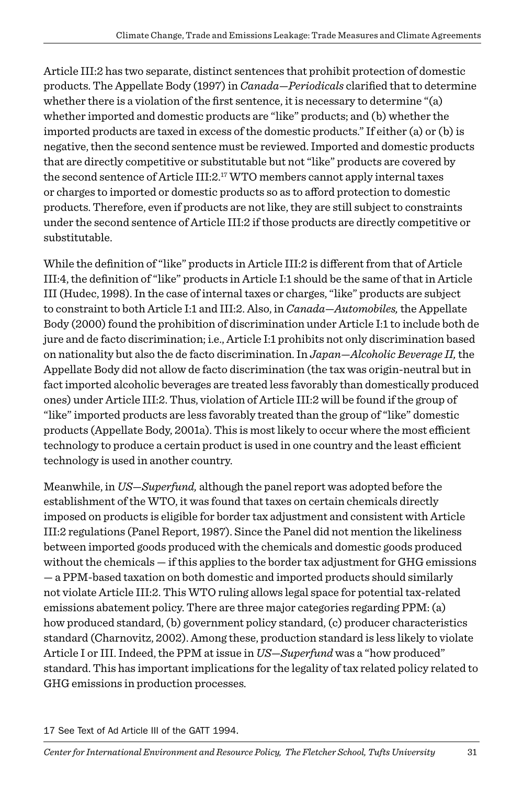Article III:2 has two separate, distinct sentences that prohibit protection of domestic products. The Appellate Body (1997) in *Canada—Periodicals* clarified that to determine whether there is a violation of the first sentence, it is necessary to determine "(a) whether imported and domestic products are "like" products; and (b) whether the imported products are taxed in excess of the domestic products." If either (a) or (b) is negative, then the second sentence must be reviewed. Imported and domestic products that are directly competitive or substitutable but not "like" products are covered by the second sentence of Article III:2.17 WTO members cannot apply internal taxes or charges to imported or domestic products so as to afford protection to domestic products. Therefore, even if products are not like, they are still subject to constraints under the second sentence of Article III:2 if those products are directly competitive or substitutable.

While the definition of "like" products in Article III:2 is different from that of Article III:4, the definition of "like" products in Article I:1 should be the same of that in Article III (Hudec, 1998). In the case of internal taxes or charges, "like" products are subject to constraint to both Article I:1 and III:2. Also, in *Canada—Automobiles,* the Appellate Body (2000) found the prohibition of discrimination under Article I:1 to include both de jure and de facto discrimination; i.e., Article I:1 prohibits not only discrimination based on nationality but also the de facto discrimination. In *Japan—Alcoholic Beverage II,* the Appellate Body did not allow de facto discrimination (the tax was origin-neutral but in fact imported alcoholic beverages are treated less favorably than domestically produced ones) under Article III:2. Thus, violation of Article III:2 will be found if the group of "like" imported products are less favorably treated than the group of "like" domestic products (Appellate Body, 2001a). This is most likely to occur where the most efficient technology to produce a certain product is used in one country and the least efficient technology is used in another country.

Meanwhile, in *US—Superfund,* although the panel report was adopted before the establishment of the WTO, it was found that taxes on certain chemicals directly imposed on products is eligible for border tax adjustment and consistent with Article III:2 regulations (Panel Report, 1987). Since the Panel did not mention the likeliness between imported goods produced with the chemicals and domestic goods produced without the chemicals — if this applies to the border tax adjustment for GHG emissions — a PPM-based taxation on both domestic and imported products should similarly not violate Article III:2. This WTO ruling allows legal space for potential tax-related emissions abatement policy. There are three major categories regarding PPM: (a) how produced standard, (b) government policy standard, (c) producer characteristics standard (Charnovitz, 2002). Among these, production standard is less likely to violate Article I or III. Indeed, the PPM at issue in *US—Superfund* was a "how produced" standard. This has important implications for the legality of tax related policy related to GHG emissions in production processes.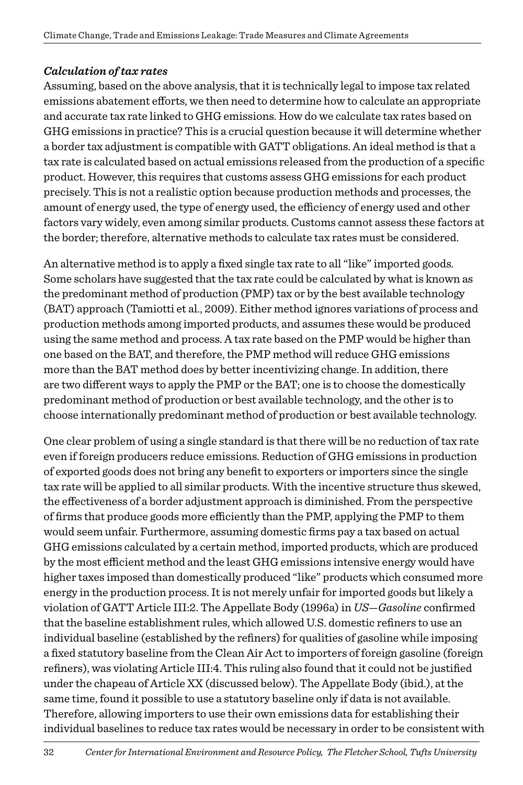#### *Calculation of tax rates*

Assuming, based on the above analysis, that it is technically legal to impose tax related emissions abatement efforts, we then need to determine how to calculate an appropriate and accurate tax rate linked to GHG emissions. How do we calculate tax rates based on GHG emissions in practice? This is a crucial question because it will determine whether a border tax adjustment is compatible with GATT obligations. An ideal method is that a tax rate is calculated based on actual emissions released from the production of a specific product. However, this requires that customs assess GHG emissions for each product precisely. This is not a realistic option because production methods and processes, the amount of energy used, the type of energy used, the efficiency of energy used and other factors vary widely, even among similar products. Customs cannot assess these factors at the border; therefore, alternative methods to calculate tax rates must be considered.

An alternative method is to apply a fixed single tax rate to all "like" imported goods. Some scholars have suggested that the tax rate could be calculated by what is known as the predominant method of production (PMP) tax or by the best available technology (BAT) approach (Tamiotti et al., 2009). Either method ignores variations of process and production methods among imported products, and assumes these would be produced using the same method and process. A tax rate based on the PMP would be higher than one based on the BAT, and therefore, the PMP method will reduce GHG emissions more than the BAT method does by better incentivizing change. In addition, there are two different ways to apply the PMP or the BAT; one is to choose the domestically predominant method of production or best available technology, and the other is to choose internationally predominant method of production or best available technology.

One clear problem of using a single standard is that there will be no reduction of tax rate even if foreign producers reduce emissions. Reduction of GHG emissions in production of exported goods does not bring any benefit to exporters or importers since the single tax rate will be applied to all similar products. With the incentive structure thus skewed, the effectiveness of a border adjustment approach is diminished. From the perspective of firms that produce goods more efficiently than the PMP, applying the PMP to them would seem unfair. Furthermore, assuming domestic firms pay a tax based on actual GHG emissions calculated by a certain method, imported products, which are produced by the most efficient method and the least GHG emissions intensive energy would have higher taxes imposed than domestically produced "like" products which consumed more energy in the production process. It is not merely unfair for imported goods but likely a violation of GATT Article III:2. The Appellate Body (1996a) in *US—Gasoline* confirmed that the baseline establishment rules, which allowed U.S. domestic refiners to use an individual baseline (established by the refiners) for qualities of gasoline while imposing a fixed statutory baseline from the Clean Air Act to importers of foreign gasoline (foreign refiners), was violating Article III:4. This ruling also found that it could not be justified under the chapeau of Article XX (discussed below). The Appellate Body (ibid.), at the same time, found it possible to use a statutory baseline only if data is not available. Therefore, allowing importers to use their own emissions data for establishing their individual baselines to reduce tax rates would be necessary in order to be consistent with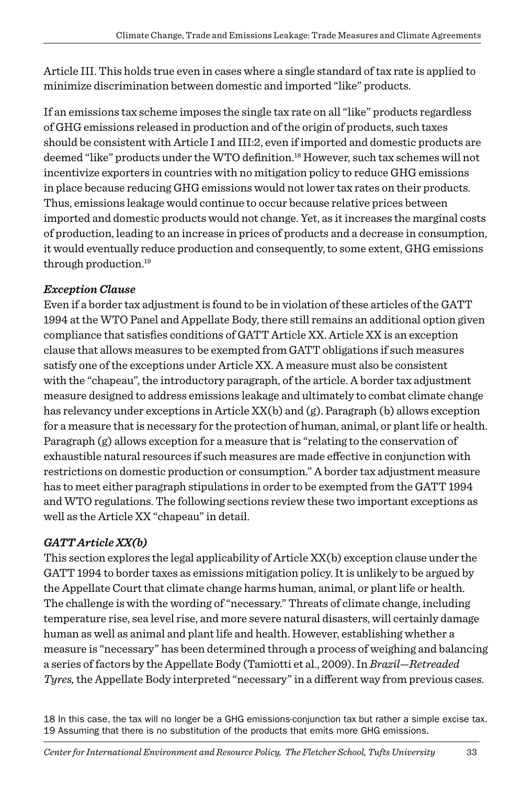Article III. This holds true even in cases where a single standard of tax rate is applied to minimize discrimination between domestic and imported "like" products.

If an emissions tax scheme imposes the single tax rate on all "like" products regardless of GHG emissions released in production and of the origin of products, such taxes should be consistent with Article I and III:2, even if imported and domestic products are deemed "like" products under the WTO definition.18 However, such tax schemes will not incentivize exporters in countries with no mitigation policy to reduce GHG emissions in place because reducing GHG emissions would not lower tax rates on their products. Thus, emissions leakage would continue to occur because relative prices between imported and domestic products would not change. Yet, as it increases the marginal costs of production, leading to an increase in prices of products and a decrease in consumption, it would eventually reduce production and consequently, to some extent, GHG emissions through production.19

#### *Exception Clause*

Even if a border tax adjustment is found to be in violation of these articles of the GATT 1994 at the WTO Panel and Appellate Body, there still remains an additional option given compliance that satisfies conditions of GATT Article XX. Article XX is an exception clause that allows measures to be exempted from GATT obligations if such measures satisfy one of the exceptions under Article XX. A measure must also be consistent with the "chapeau", the introductory paragraph, of the article. A border tax adjustment measure designed to address emissions leakage and ultimately to combat climate change has relevancy under exceptions in Article  $XX(b)$  and  $(g)$ . Paragraph (b) allows exception for a measure that is necessary for the protection of human, animal, or plant life or health. Paragraph (g) allows exception for a measure that is "relating to the conservation of exhaustible natural resources if such measures are made effective in conjunction with restrictions on domestic production or consumption." A border tax adjustment measure has to meet either paragraph stipulations in order to be exempted from the GATT 1994 and WTO regulations. The following sections review these two important exceptions as well as the Article XX "chapeau" in detail.

#### *GATT Article XX(b)*

This section explores the legal applicability of Article XX(b) exception clause under the GATT 1994 to border taxes as emissions mitigation policy. It is unlikely to be argued by the Appellate Court that climate change harms human, animal, or plant life or health. The challenge is with the wording of "necessary." Threats of climate change, including temperature rise, sea level rise, and more severe natural disasters, will certainly damage human as well as animal and plant life and health. However, establishing whether a measure is "necessary" has been determined through a process of weighing and balancing a series of factors by the Appellate Body (Tamiotti et al., 2009). In *Brazil—Retreaded Tyres,* the Appellate Body interpreted "necessary" in a different way from previous cases.

18 In this case, the tax will no longer be a GHG emissions-conjunction tax but rather a simple excise tax. 19 Assuming that there is no substitution of the products that emits more GHG emissions.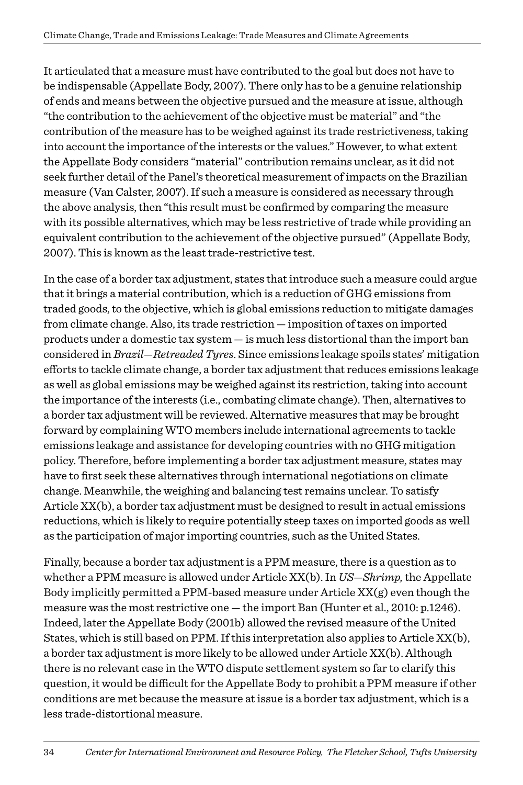It articulated that a measure must have contributed to the goal but does not have to be indispensable (Appellate Body, 2007). There only has to be a genuine relationship of ends and means between the objective pursued and the measure at issue, although "the contribution to the achievement of the objective must be material" and "the contribution of the measure has to be weighed against its trade restrictiveness, taking into account the importance of the interests or the values." However, to what extent the Appellate Body considers "material" contribution remains unclear, as it did not seek further detail of the Panel's theoretical measurement of impacts on the Brazilian measure (Van Calster, 2007). If such a measure is considered as necessary through the above analysis, then "this result must be confirmed by comparing the measure with its possible alternatives, which may be less restrictive of trade while providing an equivalent contribution to the achievement of the objective pursued" (Appellate Body, 2007). This is known as the least trade-restrictive test.

In the case of a border tax adjustment, states that introduce such a measure could argue that it brings a material contribution, which is a reduction of GHG emissions from traded goods, to the objective, which is global emissions reduction to mitigate damages from climate change. Also, its trade restriction — imposition of taxes on imported products under a domestic tax system — is much less distortional than the import ban considered in *Brazil—Retreaded Tyres*. Since emissions leakage spoils states' mitigation efforts to tackle climate change, a border tax adjustment that reduces emissions leakage as well as global emissions may be weighed against its restriction, taking into account the importance of the interests (i.e., combating climate change). Then, alternatives to a border tax adjustment will be reviewed. Alternative measures that may be brought forward by complaining WTO members include international agreements to tackle emissions leakage and assistance for developing countries with no GHG mitigation policy. Therefore, before implementing a border tax adjustment measure, states may have to first seek these alternatives through international negotiations on climate change. Meanwhile, the weighing and balancing test remains unclear. To satisfy Article XX(b), a border tax adjustment must be designed to result in actual emissions reductions, which is likely to require potentially steep taxes on imported goods as well as the participation of major importing countries, such as the United States.

Finally, because a border tax adjustment is a PPM measure, there is a question as to whether a PPM measure is allowed under Article XX(b). In *US—Shrimp,* the Appellate Body implicitly permitted a PPM-based measure under Article  $XX(g)$  even though the measure was the most restrictive one — the import Ban (Hunter et al., 2010: p.1246). Indeed, later the Appellate Body (2001b) allowed the revised measure of the United States, which is still based on PPM. If this interpretation also applies to Article XX(b), a border tax adjustment is more likely to be allowed under Article XX(b). Although there is no relevant case in the WTO dispute settlement system so far to clarify this question, it would be difficult for the Appellate Body to prohibit a PPM measure if other conditions are met because the measure at issue is a border tax adjustment, which is a less trade-distortional measure.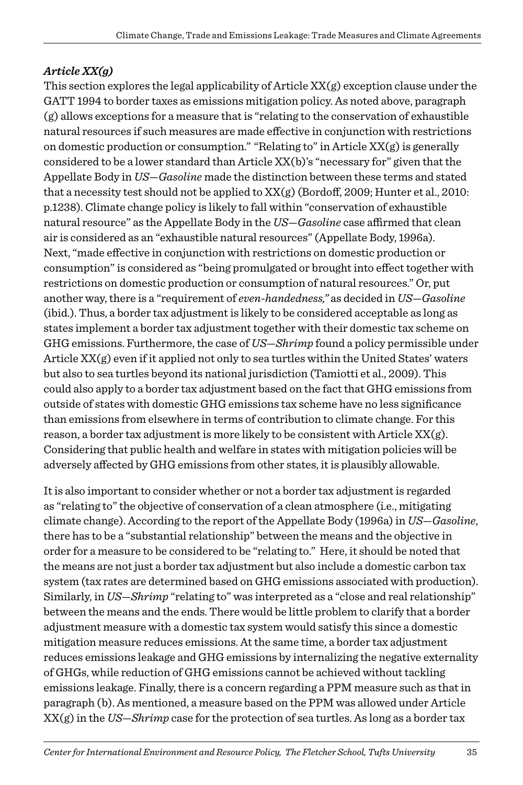#### *Article XX(g)*

This section explores the legal applicability of Article  $XX(g)$  exception clause under the GATT 1994 to border taxes as emissions mitigation policy. As noted above, paragraph (g) allows exceptions for a measure that is "relating to the conservation of exhaustible natural resources if such measures are made effective in conjunction with restrictions on domestic production or consumption." "Relating to" in Article  $XX(g)$  is generally considered to be a lower standard than Article XX(b)'s "necessary for" given that the Appellate Body in *US—Gasoline* made the distinction between these terms and stated that a necessity test should not be applied to  $XX(g)$  (Bordoff, 2009; Hunter et al., 2010: p.1238). Climate change policy is likely to fall within "conservation of exhaustible natural resource" as the Appellate Body in the *US—Gasoline* case affirmed that clean air is considered as an "exhaustible natural resources" (Appellate Body, 1996a). Next, "made effective in conjunction with restrictions on domestic production or consumption" is considered as "being promulgated or brought into effect together with restrictions on domestic production or consumption of natural resources." Or, put another way, there is a "requirement of *even-handedness,"* as decided in *US—Gasoline* (ibid.). Thus, a border tax adjustment is likely to be considered acceptable as long as states implement a border tax adjustment together with their domestic tax scheme on GHG emissions. Furthermore, the case of *US—Shrimp* found a policy permissible under Article XX(g) even if it applied not only to sea turtles within the United States' waters but also to sea turtles beyond its national jurisdiction (Tamiotti et al., 2009). This could also apply to a border tax adjustment based on the fact that GHG emissions from outside of states with domestic GHG emissions tax scheme have no less significance than emissions from elsewhere in terms of contribution to climate change. For this reason, a border tax adjustment is more likely to be consistent with Article  $XX(g)$ . Considering that public health and welfare in states with mitigation policies will be adversely affected by GHG emissions from other states, it is plausibly allowable.

It is also important to consider whether or not a border tax adjustment is regarded as "relating to" the objective of conservation of a clean atmosphere (i.e., mitigating climate change). According to the report of the Appellate Body (1996a) in *US—Gasoline*, there has to be a "substantial relationship" between the means and the objective in order for a measure to be considered to be "relating to." Here, it should be noted that the means are not just a border tax adjustment but also include a domestic carbon tax system (tax rates are determined based on GHG emissions associated with production). Similarly, in *US—Shrimp* "relating to" was interpreted as a "close and real relationship" between the means and the ends. There would be little problem to clarify that a border adjustment measure with a domestic tax system would satisfy this since a domestic mitigation measure reduces emissions. At the same time, a border tax adjustment reduces emissions leakage and GHG emissions by internalizing the negative externality of GHGs, while reduction of GHG emissions cannot be achieved without tackling emissions leakage. Finally, there is a concern regarding a PPM measure such as that in paragraph (b). As mentioned, a measure based on the PPM was allowed under Article XX(g) in the *US—Shrimp* case for the protection of sea turtles. As long as a border tax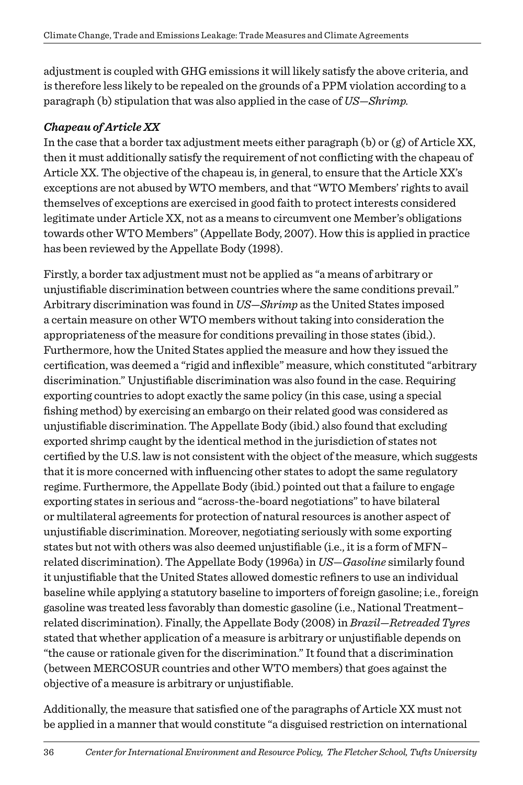adjustment is coupled with GHG emissions it will likely satisfy the above criteria, and is therefore less likely to be repealed on the grounds of a PPM violation according to a paragraph (b) stipulation that was also applied in the case of *US—Shrimp.*

#### *Chapeau of Article XX*

In the case that a border tax adjustment meets either paragraph (b) or  $(g)$  of Article XX, then it must additionally satisfy the requirement of not conflicting with the chapeau of Article XX. The objective of the chapeau is, in general, to ensure that the Article XX's exceptions are not abused by WTO members, and that "WTO Members' rights to avail themselves of exceptions are exercised in good faith to protect interests considered legitimate under Article XX, not as a means to circumvent one Member's obligations towards other WTO Members" (Appellate Body, 2007). How this is applied in practice has been reviewed by the Appellate Body (1998).

Firstly, a border tax adjustment must not be applied as "a means of arbitrary or unjustifiable discrimination between countries where the same conditions prevail." Arbitrary discrimination was found in *US—Shrimp* as the United States imposed a certain measure on other WTO members without taking into consideration the appropriateness of the measure for conditions prevailing in those states (ibid.). Furthermore, how the United States applied the measure and how they issued the certification, was deemed a "rigid and inflexible" measure, which constituted "arbitrary discrimination." Unjustifiable discrimination was also found in the case. Requiring exporting countries to adopt exactly the same policy (in this case, using a special fishing method) by exercising an embargo on their related good was considered as unjustifiable discrimination. The Appellate Body (ibid.) also found that excluding exported shrimp caught by the identical method in the jurisdiction of states not certified by the U.S. law is not consistent with the object of the measure, which suggests that it is more concerned with influencing other states to adopt the same regulatory regime. Furthermore, the Appellate Body (ibid.) pointed out that a failure to engage exporting states in serious and "across-the-board negotiations" to have bilateral or multilateral agreements for protection of natural resources is another aspect of unjustifiable discrimination. Moreover, negotiating seriously with some exporting states but not with others was also deemed unjustifiable (i.e., it is a form of MFN– related discrimination). The Appellate Body (1996a) in *US—Gasoline* similarly found it unjustifiable that the United States allowed domestic refiners to use an individual baseline while applying a statutory baseline to importers of foreign gasoline; i.e., foreign gasoline was treated less favorably than domestic gasoline (i.e., National Treatment– related discrimination). Finally, the Appellate Body (2008) in *Brazil—Retreaded Tyres* stated that whether application of a measure is arbitrary or unjustifiable depends on "the cause or rationale given for the discrimination." It found that a discrimination (between MERCOSUR countries and other WTO members) that goes against the objective of a measure is arbitrary or unjustifiable.

Additionally, the measure that satisfied one of the paragraphs of Article XX must not be applied in a manner that would constitute "a disguised restriction on international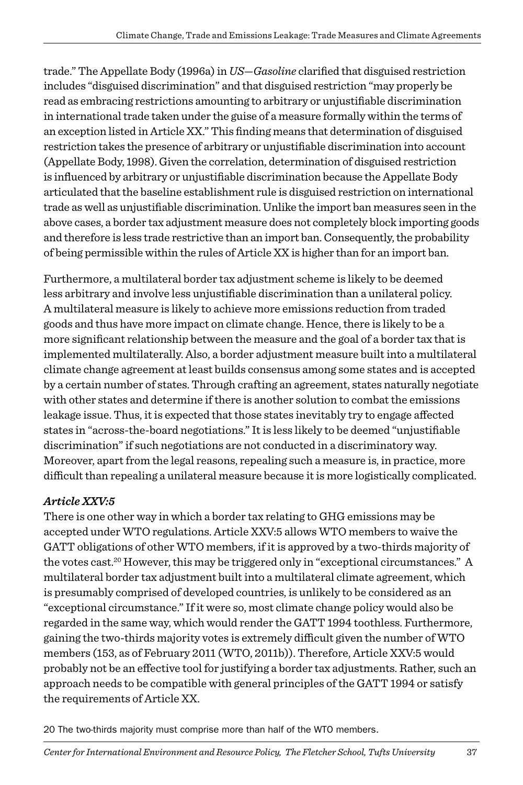trade." The Appellate Body (1996a) in *US—Gasoline* clarified that disguised restriction includes "disguised discrimination" and that disguised restriction "may properly be read as embracing restrictions amounting to arbitrary or unjustifiable discrimination in international trade taken under the guise of a measure formally within the terms of an exception listed in Article XX." This finding means that determination of disguised restriction takes the presence of arbitrary or unjustifiable discrimination into account (Appellate Body, 1998). Given the correlation, determination of disguised restriction is influenced by arbitrary or unjustifiable discrimination because the Appellate Body articulated that the baseline establishment rule is disguised restriction on international trade as well as unjustifiable discrimination. Unlike the import ban measures seen in the above cases, a border tax adjustment measure does not completely block importing goods and therefore is less trade restrictive than an import ban. Consequently, the probability of being permissible within the rules of Article XX is higher than for an import ban.

Furthermore, a multilateral border tax adjustment scheme is likely to be deemed less arbitrary and involve less unjustifiable discrimination than a unilateral policy. A multilateral measure is likely to achieve more emissions reduction from traded goods and thus have more impact on climate change. Hence, there is likely to be a more significant relationship between the measure and the goal of a border tax that is implemented multilaterally. Also, a border adjustment measure built into a multilateral climate change agreement at least builds consensus among some states and is accepted by a certain number of states. Through crafting an agreement, states naturally negotiate with other states and determine if there is another solution to combat the emissions leakage issue. Thus, it is expected that those states inevitably try to engage affected states in "across-the-board negotiations." It is less likely to be deemed "unjustifiable discrimination" if such negotiations are not conducted in a discriminatory way. Moreover, apart from the legal reasons, repealing such a measure is, in practice, more difficult than repealing a unilateral measure because it is more logistically complicated.

#### *Article XXV:5*

There is one other way in which a border tax relating to GHG emissions may be accepted under WTO regulations. Article XXV:5 allows WTO members to waive the GATT obligations of other WTO members, if it is approved by a two-thirds majority of the votes cast.<sup>20</sup> However, this may be triggered only in "exceptional circumstances." A multilateral border tax adjustment built into a multilateral climate agreement, which is presumably comprised of developed countries, is unlikely to be considered as an "exceptional circumstance." If it were so, most climate change policy would also be regarded in the same way, which would render the GATT 1994 toothless. Furthermore, gaining the two-thirds majority votes is extremely difficult given the number of WTO members (153, as of February 2011 (WTO, 2011b)). Therefore, Article XXV:5 would probably not be an effective tool for justifying a border tax adjustments. Rather, such an approach needs to be compatible with general principles of the GATT 1994 or satisfy the requirements of Article XX.

20 The two-thirds majority must comprise more than half of the WTO members.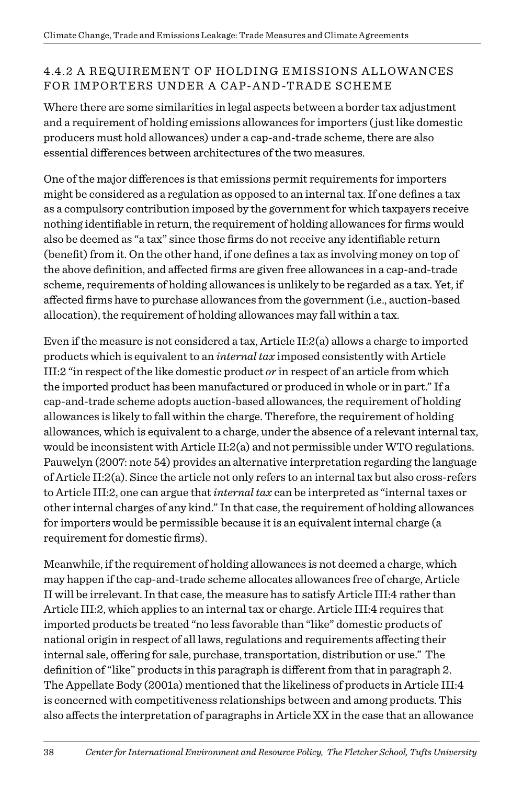#### 4.4.2 A REQUIREMENT OF HOLDING EMISSIONS ALLOWANCES FOR IMPORTERS UNDER A CAP-AND-TRADE SCHEME

Where there are some similarities in legal aspects between a border tax adjustment and a requirement of holding emissions allowances for importers ( just like domestic producers must hold allowances) under a cap-and-trade scheme, there are also essential differences between architectures of the two measures.

One of the major differences is that emissions permit requirements for importers might be considered as a regulation as opposed to an internal tax. If one defines a tax as a compulsory contribution imposed by the government for which taxpayers receive nothing identifiable in return, the requirement of holding allowances for firms would also be deemed as "a tax" since those firms do not receive any identifiable return (benefit) from it. On the other hand, if one defines a tax as involving money on top of the above definition, and affected firms are given free allowances in a cap-and-trade scheme, requirements of holding allowances is unlikely to be regarded as a tax. Yet, if affected firms have to purchase allowances from the government (i.e., auction-based allocation), the requirement of holding allowances may fall within a tax.

Even if the measure is not considered a tax, Article II:2(a) allows a charge to imported products which is equivalent to an *internal tax* imposed consistently with Article III:2 "in respect of the like domestic product *or* in respect of an article from which the imported product has been manufactured or produced in whole or in part." If a cap-and-trade scheme adopts auction-based allowances, the requirement of holding allowances is likely to fall within the charge. Therefore, the requirement of holding allowances, which is equivalent to a charge, under the absence of a relevant internal tax, would be inconsistent with Article II:2(a) and not permissible under WTO regulations. Pauwelyn (2007: note 54) provides an alternative interpretation regarding the language of Article II:2(a). Since the article not only refers to an internal tax but also cross-refers to Article III:2, one can argue that *internal tax* can be interpreted as "internal taxes or other internal charges of any kind." In that case, the requirement of holding allowances for importers would be permissible because it is an equivalent internal charge (a requirement for domestic firms).

Meanwhile, if the requirement of holding allowances is not deemed a charge, which may happen if the cap-and-trade scheme allocates allowances free of charge, Article II will be irrelevant. In that case, the measure has to satisfy Article III:4 rather than Article III:2, which applies to an internal tax or charge. Article III:4 requires that imported products be treated "no less favorable than "like" domestic products of national origin in respect of all laws, regulations and requirements affecting their internal sale, offering for sale, purchase, transportation, distribution or use." The definition of "like" products in this paragraph is different from that in paragraph 2. The Appellate Body (2001a) mentioned that the likeliness of products in Article III:4 is concerned with competitiveness relationships between and among products. This also affects the interpretation of paragraphs in Article XX in the case that an allowance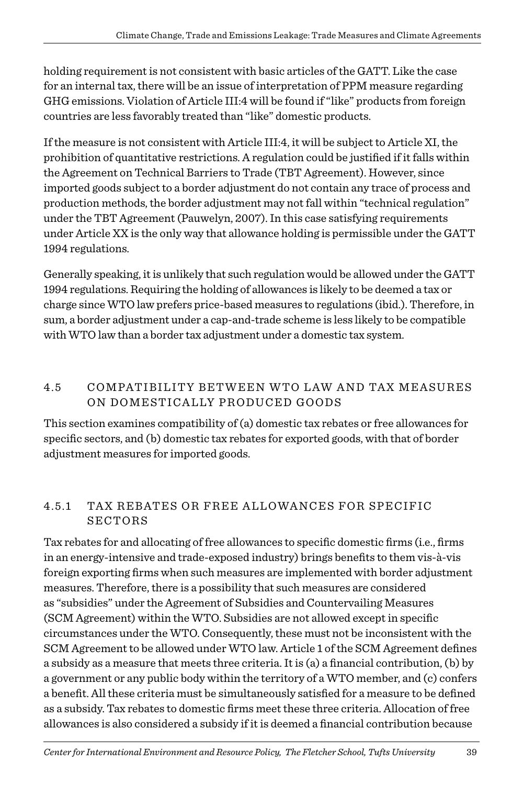holding requirement is not consistent with basic articles of the GATT. Like the case for an internal tax, there will be an issue of interpretation of PPM measure regarding GHG emissions. Violation of Article III:4 will be found if "like" products from foreign countries are less favorably treated than "like" domestic products.

If the measure is not consistent with Article III:4, it will be subject to Article XI, the prohibition of quantitative restrictions. A regulation could be justified if it falls within the Agreement on Technical Barriers to Trade (TBT Agreement). However, since imported goods subject to a border adjustment do not contain any trace of process and production methods, the border adjustment may not fall within "technical regulation" under the TBT Agreement (Pauwelyn, 2007). In this case satisfying requirements under Article XX is the only way that allowance holding is permissible under the GATT 1994 regulations.

Generally speaking, it is unlikely that such regulation would be allowed under the GATT 1994 regulations. Requiring the holding of allowances is likely to be deemed a tax or charge since WTO law prefers price-based measures to regulations (ibid.). Therefore, in sum, a border adjustment under a cap-and-trade scheme is less likely to be compatible with WTO law than a border tax adjustment under a domestic tax system.

#### 4.5 COMPATIBILITY BETWEEN WTO LAW AND TAX MEASURES ON DOMESTICALLY PRODUCED GOODS

This section examines compatibility of (a) domestic tax rebates or free allowances for specific sectors, and (b) domestic tax rebates for exported goods, with that of border adjustment measures for imported goods.

#### 4.5.1 TAX REBATES OR FREE ALLOWANCES FOR SPECIFIC **SECTORS**

Tax rebates for and allocating of free allowances to specific domestic firms (i.e., firms in an energy-intensive and trade-exposed industry) brings benefits to them vis-à-vis foreign exporting firms when such measures are implemented with border adjustment measures. Therefore, there is a possibility that such measures are considered as "subsidies" under the Agreement of Subsidies and Countervailing Measures (SCM Agreement) within the WTO. Subsidies are not allowed except in specific circumstances under the WTO. Consequently, these must not be inconsistent with the SCM Agreement to be allowed under WTO law. Article 1 of the SCM Agreement defines a subsidy as a measure that meets three criteria. It is (a) a financial contribution, (b) by a government or any public body within the territory of a WTO member, and (c) confers a benefit. All these criteria must be simultaneously satisfied for a measure to be defined as a subsidy. Tax rebates to domestic firms meet these three criteria. Allocation of free allowances is also considered a subsidy if it is deemed a financial contribution because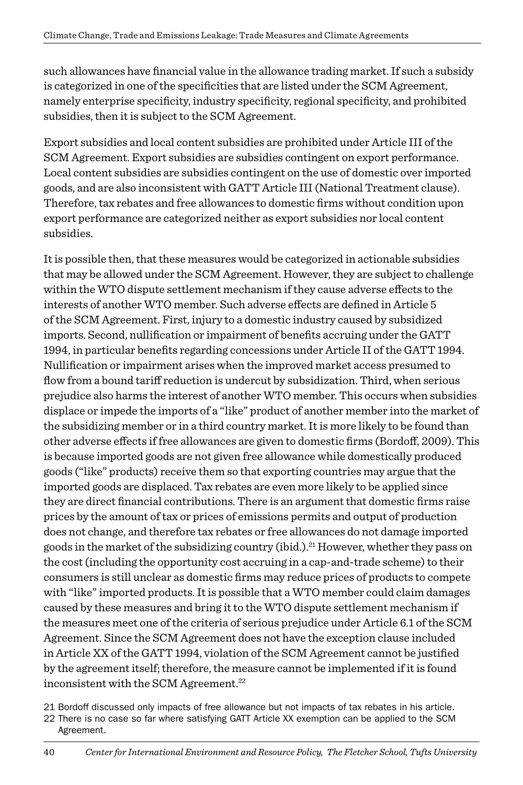such allowances have financial value in the allowance trading market. If such a subsidy is categorized in one of the specificities that are listed under the SCM Agreement, namely enterprise specificity, industry specificity, regional specificity, and prohibited subsidies, then it is subject to the SCM Agreement.

Export subsidies and local content subsidies are prohibited under Article III of the SCM Agreement. Export subsidies are subsidies contingent on export performance. Local content subsidies are subsidies contingent on the use of domestic over imported goods, and are also inconsistent with GATT Article III (National Treatment clause). Therefore, tax rebates and free allowances to domestic firms without condition upon export performance are categorized neither as export subsidies nor local content subsidies.

It is possible then, that these measures would be categorized in actionable subsidies that may be allowed under the SCM Agreement. However, they are subject to challenge within the WTO dispute settlement mechanism if they cause adverse effects to the interests of another WTO member. Such adverse effects are defined in Article 5 of the SCM Agreement. First, injury to a domestic industry caused by subsidized imports. Second, nullification or impairment of benefits accruing under the GATT 1994, in particular benefits regarding concessions under Article II of the GATT 1994. Nullification or impairment arises when the improved market access presumed to flow from a bound tariff reduction is undercut by subsidization. Third, when serious prejudice also harms the interest of another WTO member. This occurs when subsidies displace or impede the imports of a "like" product of another member into the market of the subsidizing member or in a third country market. It is more likely to be found than other adverse effects if free allowances are given to domestic firms (Bordoff, 2009). This is because imported goods are not given free allowance while domestically produced goods ("like" products) receive them so that exporting countries may argue that the imported goods are displaced. Tax rebates are even more likely to be applied since they are direct financial contributions. There is an argument that domestic firms raise prices by the amount of tax or prices of emissions permits and output of production does not change, and therefore tax rebates or free allowances do not damage imported goods in the market of the subsidizing country (ibid.).<sup>21</sup> However, whether they pass on the cost (including the opportunity cost accruing in a cap-and-trade scheme) to their consumers is still unclear as domestic firms may reduce prices of products to compete with "like" imported products. It is possible that a WTO member could claim damages caused by these measures and bring it to the WTO dispute settlement mechanism if the measures meet one of the criteria of serious prejudice under Article 6.1 of the SCM Agreement. Since the SCM Agreement does not have the exception clause included in Article XX of the GATT 1994, violation of the SCM Agreement cannot be justified by the agreement itself; therefore, the measure cannot be implemented if it is found inconsistent with the SCM Agreement.<sup>22</sup>

21 Bordoff discussed only impacts of free allowance but not impacts of tax rebates in his article.

<sup>22</sup> There is no case so far where satisfying GATT Article XX exemption can be applied to the SCM Agreement.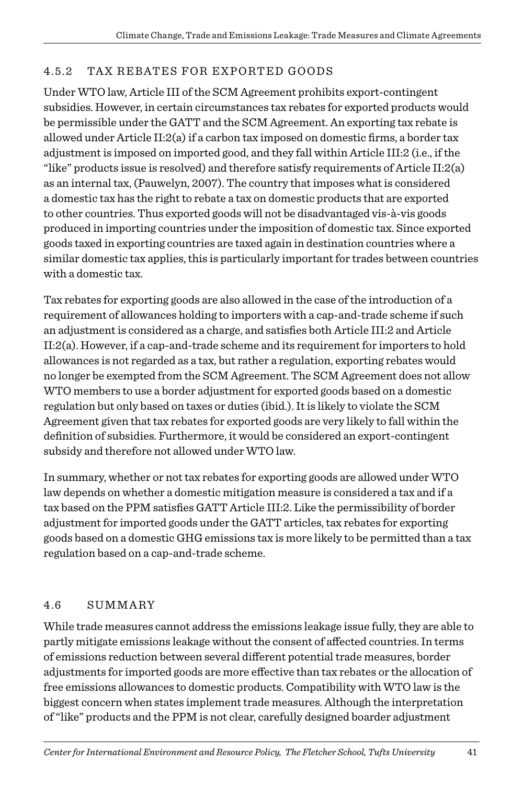#### 4.5.2 Tax Rebates for Exported Goods

Under WTO law, Article III of the SCM Agreement prohibits export-contingent subsidies. However, in certain circumstances tax rebates for exported products would be permissible under the GATT and the SCM Agreement. An exporting tax rebate is allowed under Article II:2(a) if a carbon tax imposed on domestic firms, a border tax adjustment is imposed on imported good, and they fall within Article III:2 (i.e., if the "like" products issue is resolved) and therefore satisfy requirements of Article II:2(a) as an internal tax, (Pauwelyn, 2007). The country that imposes what is considered a domestic tax has the right to rebate a tax on domestic products that are exported to other countries. Thus exported goods will not be disadvantaged vis-à-vis goods produced in importing countries under the imposition of domestic tax. Since exported goods taxed in exporting countries are taxed again in destination countries where a similar domestic tax applies, this is particularly important for trades between countries with a domestic tax.

Tax rebates for exporting goods are also allowed in the case of the introduction of a requirement of allowances holding to importers with a cap-and-trade scheme if such an adjustment is considered as a charge, and satisfies both Article III:2 and Article II:2(a). However, if a cap-and-trade scheme and its requirement for importers to hold allowances is not regarded as a tax, but rather a regulation, exporting rebates would no longer be exempted from the SCM Agreement. The SCM Agreement does not allow WTO members to use a border adjustment for exported goods based on a domestic regulation but only based on taxes or duties (ibid.). It is likely to violate the SCM Agreement given that tax rebates for exported goods are very likely to fall within the definition of subsidies. Furthermore, it would be considered an export-contingent subsidy and therefore not allowed under WTO law.

In summary, whether or not tax rebates for exporting goods are allowed under WTO law depends on whether a domestic mitigation measure is considered a tax and if a tax based on the PPM satisfies GATT Article III:2. Like the permissibility of border adjustment for imported goods under the GATT articles, tax rebates for exporting goods based on a domestic GHG emissions tax is more likely to be permitted than a tax regulation based on a cap-and-trade scheme.

#### 4.6 SUMMARY

While trade measures cannot address the emissions leakage issue fully, they are able to partly mitigate emissions leakage without the consent of affected countries. In terms of emissions reduction between several different potential trade measures, border adjustments for imported goods are more effective than tax rebates or the allocation of free emissions allowances to domestic products. Compatibility with WTO law is the biggest concern when states implement trade measures. Although the interpretation of "like" products and the PPM is not clear, carefully designed boarder adjustment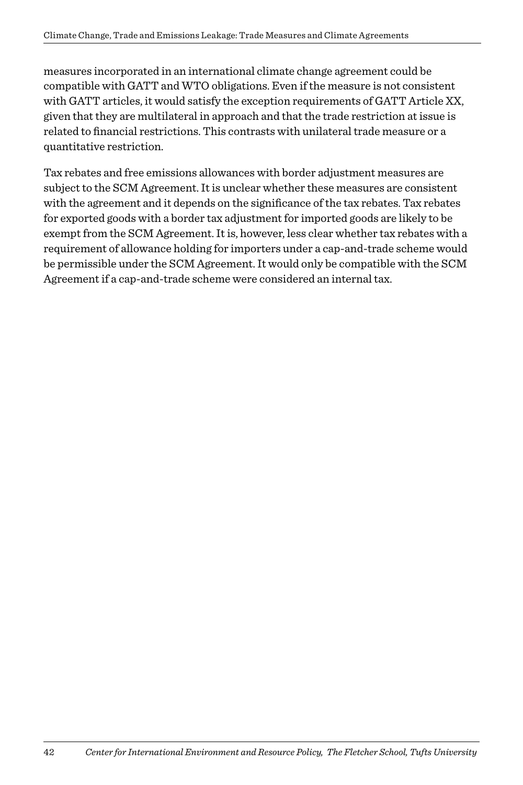measures incorporated in an international climate change agreement could be compatible with GATT and WTO obligations. Even if the measure is not consistent with GATT articles, it would satisfy the exception requirements of GATT Article XX, given that they are multilateral in approach and that the trade restriction at issue is related to financial restrictions. This contrasts with unilateral trade measure or a quantitative restriction.

Tax rebates and free emissions allowances with border adjustment measures are subject to the SCM Agreement. It is unclear whether these measures are consistent with the agreement and it depends on the significance of the tax rebates. Tax rebates for exported goods with a border tax adjustment for imported goods are likely to be exempt from the SCM Agreement. It is, however, less clear whether tax rebates with a requirement of allowance holding for importers under a cap-and-trade scheme would be permissible under the SCM Agreement. It would only be compatible with the SCM Agreement if a cap-and-trade scheme were considered an internal tax.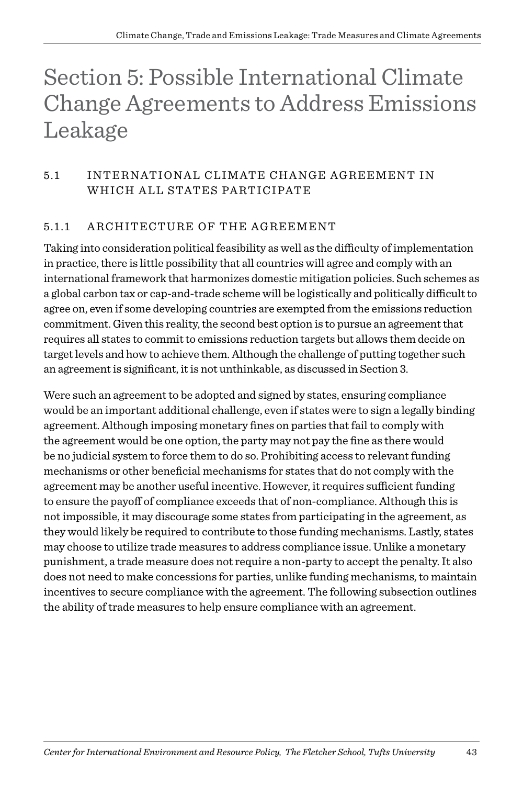## Section 5: Possible International Climate Change Agreements to Address Emissions Leakage

#### 5.1 INTERNATIONAL CLIMATE CHANGE AGREEMENT IN WHICH ALL STATES PARTICIPATE

#### 5.1.1 ARCHITECTURE OF THE AGREEMENT

Taking into consideration political feasibility as well as the difficulty of implementation in practice, there is little possibility that all countries will agree and comply with an international framework that harmonizes domestic mitigation policies. Such schemes as a global carbon tax or cap-and-trade scheme will be logistically and politically difficult to agree on, even if some developing countries are exempted from the emissions reduction commitment. Given this reality, the second best option is to pursue an agreement that requires all states to commit to emissions reduction targets but allows them decide on target levels and how to achieve them. Although the challenge of putting together such an agreement is significant, it is not unthinkable, as discussed in Section 3.

Were such an agreement to be adopted and signed by states, ensuring compliance would be an important additional challenge, even if states were to sign a legally binding agreement. Although imposing monetary fines on parties that fail to comply with the agreement would be one option, the party may not pay the fine as there would be no judicial system to force them to do so. Prohibiting access to relevant funding mechanisms or other beneficial mechanisms for states that do not comply with the agreement may be another useful incentive. However, it requires sufficient funding to ensure the payoff of compliance exceeds that of non-compliance. Although this is not impossible, it may discourage some states from participating in the agreement, as they would likely be required to contribute to those funding mechanisms. Lastly, states may choose to utilize trade measures to address compliance issue. Unlike a monetary punishment, a trade measure does not require a non-party to accept the penalty. It also does not need to make concessions for parties, unlike funding mechanisms, to maintain incentives to secure compliance with the agreement. The following subsection outlines the ability of trade measures to help ensure compliance with an agreement.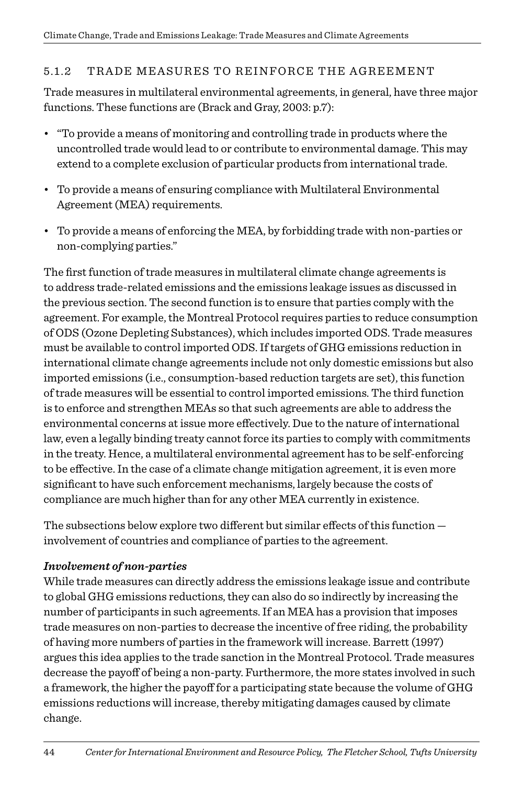#### 5.1.2 TRADE MEASURES TO REINFORCE THE AGREEMENT

Trade measures in multilateral environmental agreements, in general, have three major functions. These functions are (Brack and Gray, 2003: p.7):

- "To provide a means of monitoring and controlling trade in products where the uncontrolled trade would lead to or contribute to environmental damage. This may extend to a complete exclusion of particular products from international trade.
- To provide a means of ensuring compliance with Multilateral Environmental Agreement (MEA) requirements.
- To provide a means of enforcing the MEA, by forbidding trade with non-parties or non-complying parties."

The first function of trade measures in multilateral climate change agreements is to address trade-related emissions and the emissions leakage issues as discussed in the previous section. The second function is to ensure that parties comply with the agreement. For example, the Montreal Protocol requires parties to reduce consumption of ODS (Ozone Depleting Substances), which includes imported ODS. Trade measures must be available to control imported ODS. If targets of GHG emissions reduction in international climate change agreements include not only domestic emissions but also imported emissions (i.e., consumption-based reduction targets are set), this function of trade measures will be essential to control imported emissions. The third function is to enforce and strengthen MEAs so that such agreements are able to address the environmental concerns at issue more effectively. Due to the nature of international law, even a legally binding treaty cannot force its parties to comply with commitments in the treaty. Hence, a multilateral environmental agreement has to be self-enforcing to be effective. In the case of a climate change mitigation agreement, it is even more significant to have such enforcement mechanisms, largely because the costs of compliance are much higher than for any other MEA currently in existence.

The subsections below explore two different but similar effects of this function involvement of countries and compliance of parties to the agreement.

#### *Involvement of non-parties*

While trade measures can directly address the emissions leakage issue and contribute to global GHG emissions reductions, they can also do so indirectly by increasing the number of participants in such agreements. If an MEA has a provision that imposes trade measures on non-parties to decrease the incentive of free riding, the probability of having more numbers of parties in the framework will increase. Barrett (1997) argues this idea applies to the trade sanction in the Montreal Protocol. Trade measures decrease the payoff of being a non-party. Furthermore, the more states involved in such a framework, the higher the payoff for a participating state because the volume of GHG emissions reductions will increase, thereby mitigating damages caused by climate change.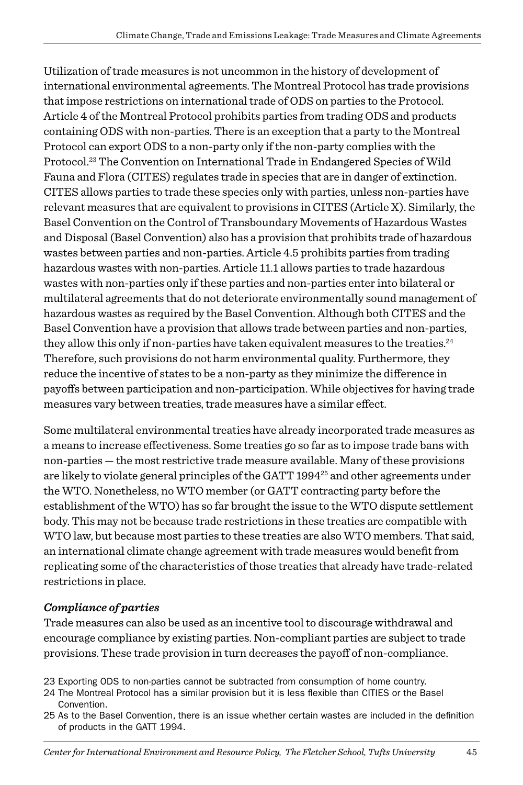Utilization of trade measures is not uncommon in the history of development of international environmental agreements. The Montreal Protocol has trade provisions that impose restrictions on international trade of ODS on parties to the Protocol. Article 4 of the Montreal Protocol prohibits parties from trading ODS and products containing ODS with non-parties. There is an exception that a party to the Montreal Protocol can export ODS to a non-party only if the non-party complies with the Protocol.<sup>23</sup> The Convention on International Trade in Endangered Species of Wild Fauna and Flora (CITES) regulates trade in species that are in danger of extinction. CITES allows parties to trade these species only with parties, unless non-parties have relevant measures that are equivalent to provisions in CITES (Article X). Similarly, the Basel Convention on the Control of Transboundary Movements of Hazardous Wastes and Disposal (Basel Convention) also has a provision that prohibits trade of hazardous wastes between parties and non-parties. Article 4.5 prohibits parties from trading hazardous wastes with non-parties. Article 11.1 allows parties to trade hazardous wastes with non-parties only if these parties and non-parties enter into bilateral or multilateral agreements that do not deteriorate environmentally sound management of hazardous wastes as required by the Basel Convention. Although both CITES and the Basel Convention have a provision that allows trade between parties and non-parties, they allow this only if non-parties have taken equivalent measures to the treaties. $^{24}$ Therefore, such provisions do not harm environmental quality. Furthermore, they reduce the incentive of states to be a non-party as they minimize the difference in payoffs between participation and non-participation. While objectives for having trade measures vary between treaties, trade measures have a similar effect.

Some multilateral environmental treaties have already incorporated trade measures as a means to increase effectiveness. Some treaties go so far as to impose trade bans with non-parties — the most restrictive trade measure available. Many of these provisions are likely to violate general principles of the GATT 1994<sup>25</sup> and other agreements under the WTO. Nonetheless, no WTO member (or GATT contracting party before the establishment of the WTO) has so far brought the issue to the WTO dispute settlement body. This may not be because trade restrictions in these treaties are compatible with WTO law, but because most parties to these treaties are also WTO members. That said, an international climate change agreement with trade measures would benefit from replicating some of the characteristics of those treaties that already have trade-related restrictions in place.

#### *Compliance of parties*

Trade measures can also be used as an incentive tool to discourage withdrawal and encourage compliance by existing parties. Non-compliant parties are subject to trade provisions. These trade provision in turn decreases the payoff of non-compliance.

- 23 Exporting ODS to non-parties cannot be subtracted from consumption of home country.
- 24 The Montreal Protocol has a similar provision but it is less flexible than CITIES or the Basel Convention.
- 25 As to the Basel Convention, there is an issue whether certain wastes are included in the definition of products in the GATT 1994.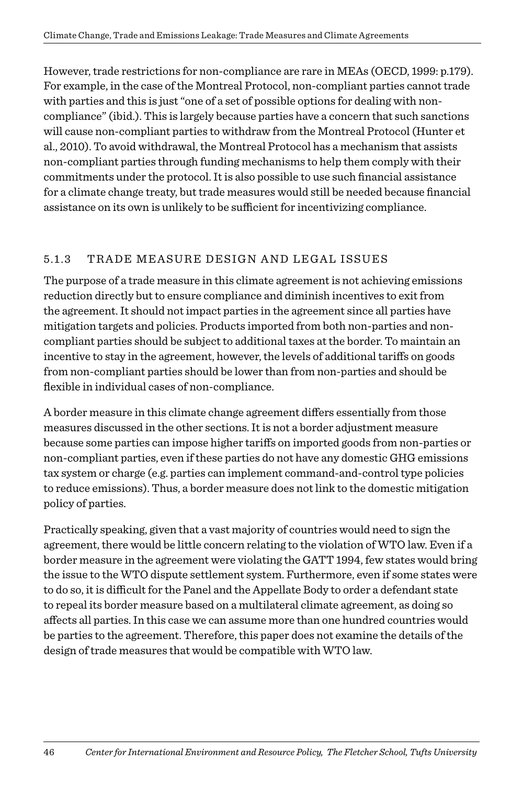However, trade restrictions for non-compliance are rare in MEAs (OECD, 1999: p.179). For example, in the case of the Montreal Protocol, non-compliant parties cannot trade with parties and this is just "one of a set of possible options for dealing with noncompliance" (ibid.). This is largely because parties have a concern that such sanctions will cause non-compliant parties to withdraw from the Montreal Protocol (Hunter et al., 2010). To avoid withdrawal, the Montreal Protocol has a mechanism that assists non-compliant parties through funding mechanisms to help them comply with their commitments under the protocol. It is also possible to use such financial assistance for a climate change treaty, but trade measures would still be needed because financial assistance on its own is unlikely to be sufficient for incentivizing compliance.

#### 5.1.3 TRADE MEASURE DESIGN AND LEGAL ISSUES

The purpose of a trade measure in this climate agreement is not achieving emissions reduction directly but to ensure compliance and diminish incentives to exit from the agreement. It should not impact parties in the agreement since all parties have mitigation targets and policies. Products imported from both non-parties and noncompliant parties should be subject to additional taxes at the border. To maintain an incentive to stay in the agreement, however, the levels of additional tariffs on goods from non-compliant parties should be lower than from non-parties and should be flexible in individual cases of non-compliance.

A border measure in this climate change agreement differs essentially from those measures discussed in the other sections. It is not a border adjustment measure because some parties can impose higher tariffs on imported goods from non-parties or non-compliant parties, even if these parties do not have any domestic GHG emissions tax system or charge (e.g. parties can implement command-and-control type policies to reduce emissions). Thus, a border measure does not link to the domestic mitigation policy of parties.

Practically speaking, given that a vast majority of countries would need to sign the agreement, there would be little concern relating to the violation of WTO law. Even if a border measure in the agreement were violating the GATT 1994, few states would bring the issue to the WTO dispute settlement system. Furthermore, even if some states were to do so, it is difficult for the Panel and the Appellate Body to order a defendant state to repeal its border measure based on a multilateral climate agreement, as doing so affects all parties. In this case we can assume more than one hundred countries would be parties to the agreement. Therefore, this paper does not examine the details of the design of trade measures that would be compatible with WTO law.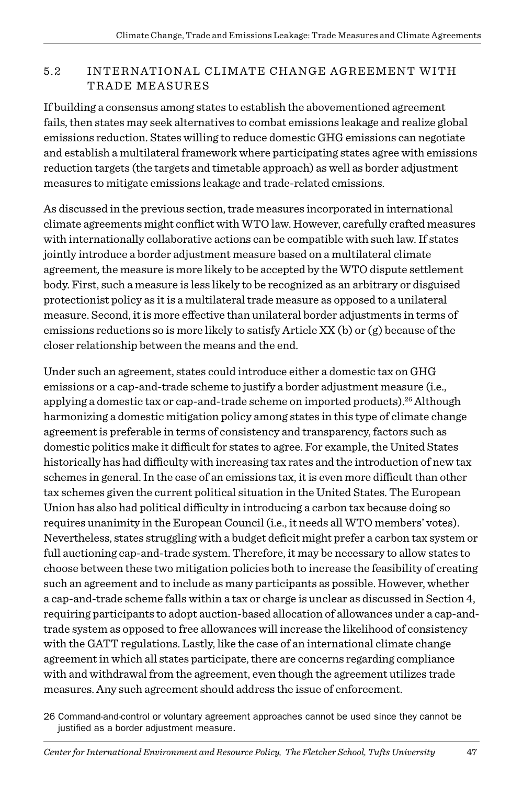#### 5.2 INTERNATIONAL CLIMATE CHANGE AGREEMENT WITH TRADE MEASURES

If building a consensus among states to establish the abovementioned agreement fails, then states may seek alternatives to combat emissions leakage and realize global emissions reduction. States willing to reduce domestic GHG emissions can negotiate and establish a multilateral framework where participating states agree with emissions reduction targets (the targets and timetable approach) as well as border adjustment measures to mitigate emissions leakage and trade-related emissions.

As discussed in the previous section, trade measures incorporated in international climate agreements might conflict with WTO law. However, carefully crafted measures with internationally collaborative actions can be compatible with such law. If states jointly introduce a border adjustment measure based on a multilateral climate agreement, the measure is more likely to be accepted by the WTO dispute settlement body. First, such a measure is less likely to be recognized as an arbitrary or disguised protectionist policy as it is a multilateral trade measure as opposed to a unilateral measure. Second, it is more effective than unilateral border adjustments in terms of emissions reductions so is more likely to satisfy Article XX (b) or (g) because of the closer relationship between the means and the end.

Under such an agreement, states could introduce either a domestic tax on GHG emissions or a cap-and-trade scheme to justify a border adjustment measure (i.e., applying a domestic tax or cap-and-trade scheme on imported products).<sup>26</sup> Although harmonizing a domestic mitigation policy among states in this type of climate change agreement is preferable in terms of consistency and transparency, factors such as domestic politics make it difficult for states to agree. For example, the United States historically has had difficulty with increasing tax rates and the introduction of new tax schemes in general. In the case of an emissions tax, it is even more difficult than other tax schemes given the current political situation in the United States. The European Union has also had political difficulty in introducing a carbon tax because doing so requires unanimity in the European Council (i.e., it needs all WTO members' votes). Nevertheless, states struggling with a budget deficit might prefer a carbon tax system or full auctioning cap-and-trade system. Therefore, it may be necessary to allow states to choose between these two mitigation policies both to increase the feasibility of creating such an agreement and to include as many participants as possible. However, whether a cap-and-trade scheme falls within a tax or charge is unclear as discussed in Section 4, requiring participants to adopt auction-based allocation of allowances under a cap-andtrade system as opposed to free allowances will increase the likelihood of consistency with the GATT regulations. Lastly, like the case of an international climate change agreement in which all states participate, there are concerns regarding compliance with and withdrawal from the agreement, even though the agreement utilizes trade measures. Any such agreement should address the issue of enforcement.

26 Command-and-control or voluntary agreement approaches cannot be used since they cannot be justified as a border adjustment measure.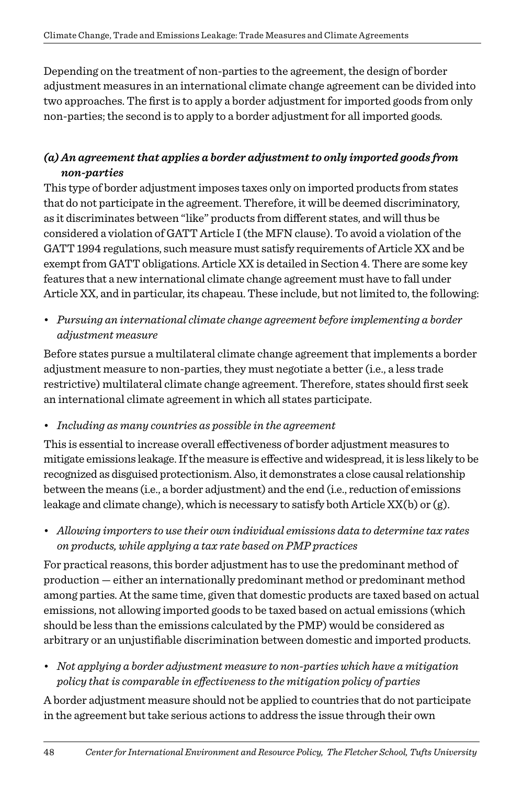Depending on the treatment of non-parties to the agreement, the design of border adjustment measures in an international climate change agreement can be divided into two approaches. The first is to apply a border adjustment for imported goods from only non-parties; the second is to apply to a border adjustment for all imported goods.

#### *(a) An agreement that applies a border adjustment to only imported goods from non-parties*

This type of border adjustment imposes taxes only on imported products from states that do not participate in the agreement. Therefore, it will be deemed discriminatory, as it discriminates between "like" products from different states, and will thus be considered a violation of GATT Article I (the MFN clause). To avoid a violation of the GATT 1994 regulations, such measure must satisfy requirements of Article XX and be exempt from GATT obligations. Article XX is detailed in Section 4. There are some key features that a new international climate change agreement must have to fall under Article XX, and in particular, its chapeau. These include, but not limited to, the following:

• *Pursuing an international climate change agreement before implementing a border adjustment measure*

Before states pursue a multilateral climate change agreement that implements a border adjustment measure to non-parties, they must negotiate a better (i.e., a less trade restrictive) multilateral climate change agreement. Therefore, states should first seek an international climate agreement in which all states participate.

#### • *Including as many countries as possible in the agreement*

This is essential to increase overall effectiveness of border adjustment measures to mitigate emissions leakage. If the measure is effective and widespread, it is less likely to be recognized as disguised protectionism. Also, it demonstrates a close causal relationship between the means (i.e., a border adjustment) and the end (i.e., reduction of emissions leakage and climate change), which is necessary to satisfy both Article XX(b) or (g).

• *Allowing importers to use their own individual emissions data to determine tax rates on products, while applying a tax rate based on PMP practices*

For practical reasons, this border adjustment has to use the predominant method of production — either an internationally predominant method or predominant method among parties. At the same time, given that domestic products are taxed based on actual emissions, not allowing imported goods to be taxed based on actual emissions (which should be less than the emissions calculated by the PMP) would be considered as arbitrary or an unjustifiable discrimination between domestic and imported products.

• *Not applying a border adjustment measure to non-parties which have a mitigation policy that is comparable in effectiveness to the mitigation policy of parties*

A border adjustment measure should not be applied to countries that do not participate in the agreement but take serious actions to address the issue through their own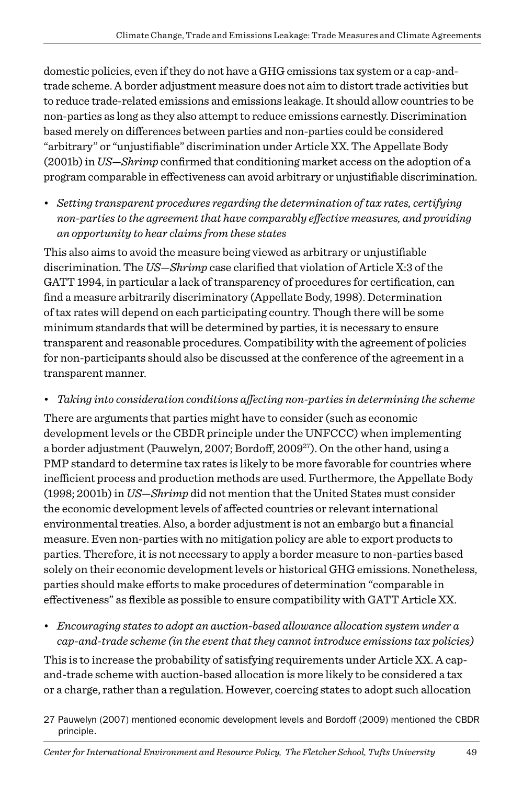domestic policies, even if they do not have a GHG emissions tax system or a cap-andtrade scheme. A border adjustment measure does not aim to distort trade activities but to reduce trade-related emissions and emissions leakage. It should allow countries to be non-parties as long as they also attempt to reduce emissions earnestly. Discrimination based merely on differences between parties and non-parties could be considered "arbitrary" or "unjustifiable" discrimination under Article XX. The Appellate Body (2001b) in *US—Shrimp* confirmed that conditioning market access on the adoption of a program comparable in effectiveness can avoid arbitrary or unjustifiable discrimination.

• *Setting transparent procedures regarding the determination of tax rates, certifying non-parties to the agreement that have comparably effective measures, and providing an opportunity to hear claims from these states* 

This also aims to avoid the measure being viewed as arbitrary or unjustifiable discrimination. The *US—Shrimp* case clarified that violation of Article X:3 of the GATT 1994, in particular a lack of transparency of procedures for certification, can find a measure arbitrarily discriminatory (Appellate Body, 1998). Determination of tax rates will depend on each participating country. Though there will be some minimum standards that will be determined by parties, it is necessary to ensure transparent and reasonable procedures. Compatibility with the agreement of policies for non-participants should also be discussed at the conference of the agreement in a transparent manner.

• *Taking into consideration conditions affecting non-parties in determining the scheme*

There are arguments that parties might have to consider (such as economic development levels or the CBDR principle under the UNFCCC) when implementing a border adjustment (Pauwelyn, 2007; Bordoff, 2009<sup>27</sup>). On the other hand, using a PMP standard to determine tax rates is likely to be more favorable for countries where inefficient process and production methods are used. Furthermore, the Appellate Body (1998; 2001b) in *US—Shrimp* did not mention that the United States must consider the economic development levels of affected countries or relevant international environmental treaties. Also, a border adjustment is not an embargo but a financial measure. Even non-parties with no mitigation policy are able to export products to parties. Therefore, it is not necessary to apply a border measure to non-parties based solely on their economic development levels or historical GHG emissions. Nonetheless, parties should make efforts to make procedures of determination "comparable in effectiveness" as flexible as possible to ensure compatibility with GATT Article XX.

• *Encouraging states to adopt an auction-based allowance allocation system under a cap-and-trade scheme (in the event that they cannot introduce emissions tax policies)*

This is to increase the probability of satisfying requirements under Article XX. A capand-trade scheme with auction-based allocation is more likely to be considered a tax or a charge, rather than a regulation. However, coercing states to adopt such allocation

27 Pauwelyn (2007) mentioned economic development levels and Bordoff (2009) mentioned the CBDR principle.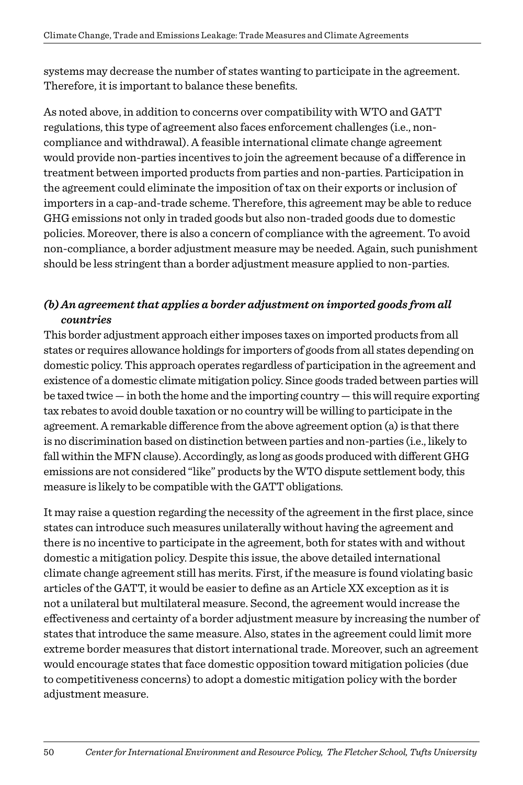systems may decrease the number of states wanting to participate in the agreement. Therefore, it is important to balance these benefits.

As noted above, in addition to concerns over compatibility with WTO and GATT regulations, this type of agreement also faces enforcement challenges (i.e., noncompliance and withdrawal). A feasible international climate change agreement would provide non-parties incentives to join the agreement because of a difference in treatment between imported products from parties and non-parties. Participation in the agreement could eliminate the imposition of tax on their exports or inclusion of importers in a cap-and-trade scheme. Therefore, this agreement may be able to reduce GHG emissions not only in traded goods but also non-traded goods due to domestic policies. Moreover, there is also a concern of compliance with the agreement. To avoid non-compliance, a border adjustment measure may be needed. Again, such punishment should be less stringent than a border adjustment measure applied to non-parties.

#### *(b) An agreement that applies a border adjustment on imported goods from all countries*

This border adjustment approach either imposes taxes on imported products from all states or requires allowance holdings for importers of goods from all states depending on domestic policy. This approach operates regardless of participation in the agreement and existence of a domestic climate mitigation policy. Since goods traded between parties will be taxed twice — in both the home and the importing country — this will require exporting tax rebates to avoid double taxation or no country will be willing to participate in the agreement. A remarkable difference from the above agreement option (a) is that there is no discrimination based on distinction between parties and non-parties (i.e., likely to fall within the MFN clause). Accordingly, as long as goods produced with different GHG emissions are not considered "like" products by the WTO dispute settlement body, this measure is likely to be compatible with the GATT obligations.

It may raise a question regarding the necessity of the agreement in the first place, since states can introduce such measures unilaterally without having the agreement and there is no incentive to participate in the agreement, both for states with and without domestic a mitigation policy. Despite this issue, the above detailed international climate change agreement still has merits. First, if the measure is found violating basic articles of the GATT, it would be easier to define as an Article XX exception as it is not a unilateral but multilateral measure. Second, the agreement would increase the effectiveness and certainty of a border adjustment measure by increasing the number of states that introduce the same measure. Also, states in the agreement could limit more extreme border measures that distort international trade. Moreover, such an agreement would encourage states that face domestic opposition toward mitigation policies (due to competitiveness concerns) to adopt a domestic mitigation policy with the border adjustment measure.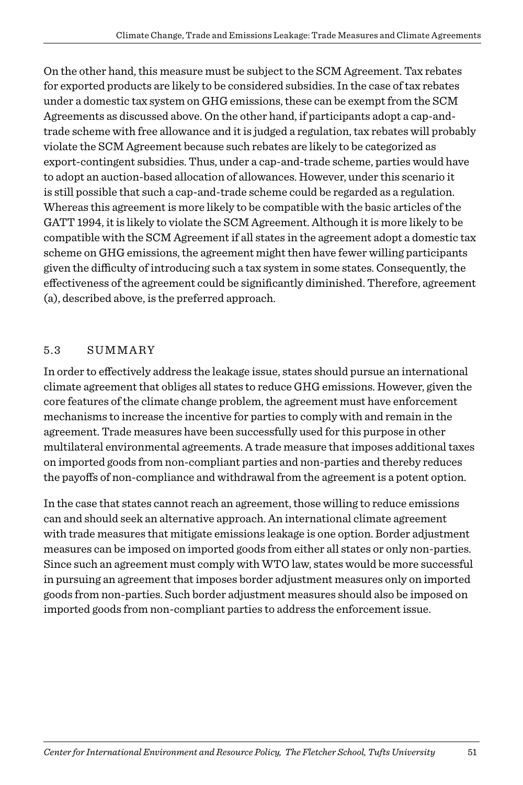On the other hand, this measure must be subject to the SCM Agreement. Tax rebates for exported products are likely to be considered subsidies. In the case of tax rebates under a domestic tax system on GHG emissions, these can be exempt from the SCM Agreements as discussed above. On the other hand, if participants adopt a cap-andtrade scheme with free allowance and it is judged a regulation, tax rebates will probably violate the SCM Agreement because such rebates are likely to be categorized as export-contingent subsidies. Thus, under a cap-and-trade scheme, parties would have to adopt an auction-based allocation of allowances. However, under this scenario it is still possible that such a cap-and-trade scheme could be regarded as a regulation. Whereas this agreement is more likely to be compatible with the basic articles of the GATT 1994, it is likely to violate the SCM Agreement. Although it is more likely to be compatible with the SCM Agreement if all states in the agreement adopt a domestic tax scheme on GHG emissions, the agreement might then have fewer willing participants given the difficulty of introducing such a tax system in some states. Consequently, the effectiveness of the agreement could be significantly diminished. Therefore, agreement (a), described above, is the preferred approach.

#### 5.3 Summary

In order to effectively address the leakage issue, states should pursue an international climate agreement that obliges all states to reduce GHG emissions. However, given the core features of the climate change problem, the agreement must have enforcement mechanisms to increase the incentive for parties to comply with and remain in the agreement. Trade measures have been successfully used for this purpose in other multilateral environmental agreements. A trade measure that imposes additional taxes on imported goods from non-compliant parties and non-parties and thereby reduces the payoffs of non-compliance and withdrawal from the agreement is a potent option.

In the case that states cannot reach an agreement, those willing to reduce emissions can and should seek an alternative approach. An international climate agreement with trade measures that mitigate emissions leakage is one option. Border adjustment measures can be imposed on imported goods from either all states or only non-parties. Since such an agreement must comply with WTO law, states would be more successful in pursuing an agreement that imposes border adjustment measures only on imported goods from non-parties. Such border adjustment measures should also be imposed on imported goods from non-compliant parties to address the enforcement issue.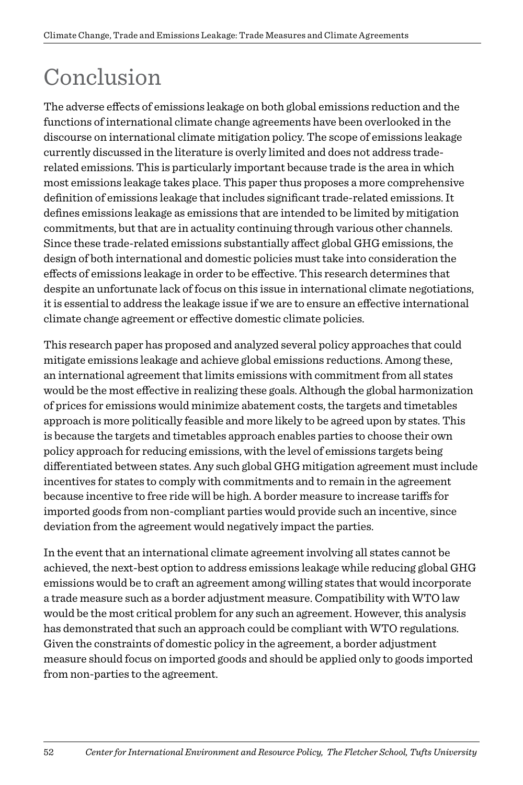# Conclusion

The adverse effects of emissions leakage on both global emissions reduction and the functions of international climate change agreements have been overlooked in the discourse on international climate mitigation policy. The scope of emissions leakage currently discussed in the literature is overly limited and does not address traderelated emissions. This is particularly important because trade is the area in which most emissions leakage takes place. This paper thus proposes a more comprehensive definition of emissions leakage that includes significant trade-related emissions. It defines emissions leakage as emissions that are intended to be limited by mitigation commitments, but that are in actuality continuing through various other channels. Since these trade-related emissions substantially affect global GHG emissions, the design of both international and domestic policies must take into consideration the effects of emissions leakage in order to be effective. This research determines that despite an unfortunate lack of focus on this issue in international climate negotiations, it is essential to address the leakage issue if we are to ensure an effective international climate change agreement or effective domestic climate policies.

This research paper has proposed and analyzed several policy approaches that could mitigate emissions leakage and achieve global emissions reductions. Among these, an international agreement that limits emissions with commitment from all states would be the most effective in realizing these goals. Although the global harmonization of prices for emissions would minimize abatement costs, the targets and timetables approach is more politically feasible and more likely to be agreed upon by states. This is because the targets and timetables approach enables parties to choose their own policy approach for reducing emissions, with the level of emissions targets being differentiated between states. Any such global GHG mitigation agreement must include incentives for states to comply with commitments and to remain in the agreement because incentive to free ride will be high. A border measure to increase tariffs for imported goods from non-compliant parties would provide such an incentive, since deviation from the agreement would negatively impact the parties.

In the event that an international climate agreement involving all states cannot be achieved, the next-best option to address emissions leakage while reducing global GHG emissions would be to craft an agreement among willing states that would incorporate a trade measure such as a border adjustment measure. Compatibility with WTO law would be the most critical problem for any such an agreement. However, this analysis has demonstrated that such an approach could be compliant with WTO regulations. Given the constraints of domestic policy in the agreement, a border adjustment measure should focus on imported goods and should be applied only to goods imported from non-parties to the agreement.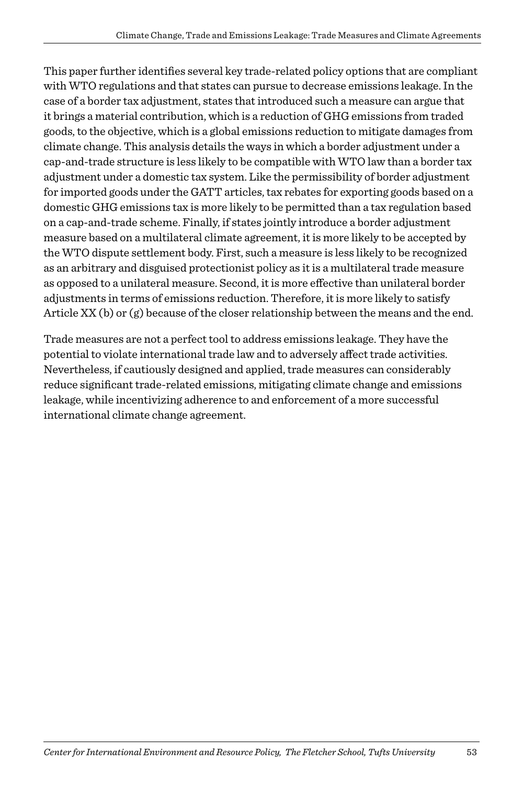This paper further identifies several key trade-related policy options that are compliant with WTO regulations and that states can pursue to decrease emissions leakage. In the case of a border tax adjustment, states that introduced such a measure can argue that it brings a material contribution, which is a reduction of GHG emissions from traded goods, to the objective, which is a global emissions reduction to mitigate damages from climate change. This analysis details the ways in which a border adjustment under a cap-and-trade structure is less likely to be compatible with WTO law than a border tax adjustment under a domestic tax system. Like the permissibility of border adjustment for imported goods under the GATT articles, tax rebates for exporting goods based on a domestic GHG emissions tax is more likely to be permitted than a tax regulation based on a cap-and-trade scheme. Finally, if states jointly introduce a border adjustment measure based on a multilateral climate agreement, it is more likely to be accepted by the WTO dispute settlement body. First, such a measure is less likely to be recognized as an arbitrary and disguised protectionist policy as it is a multilateral trade measure as opposed to a unilateral measure. Second, it is more effective than unilateral border adjustments in terms of emissions reduction. Therefore, it is more likely to satisfy Article XX (b) or (g) because of the closer relationship between the means and the end.

Trade measures are not a perfect tool to address emissions leakage. They have the potential to violate international trade law and to adversely affect trade activities. Nevertheless, if cautiously designed and applied, trade measures can considerably reduce significant trade-related emissions, mitigating climate change and emissions leakage, while incentivizing adherence to and enforcement of a more successful international climate change agreement.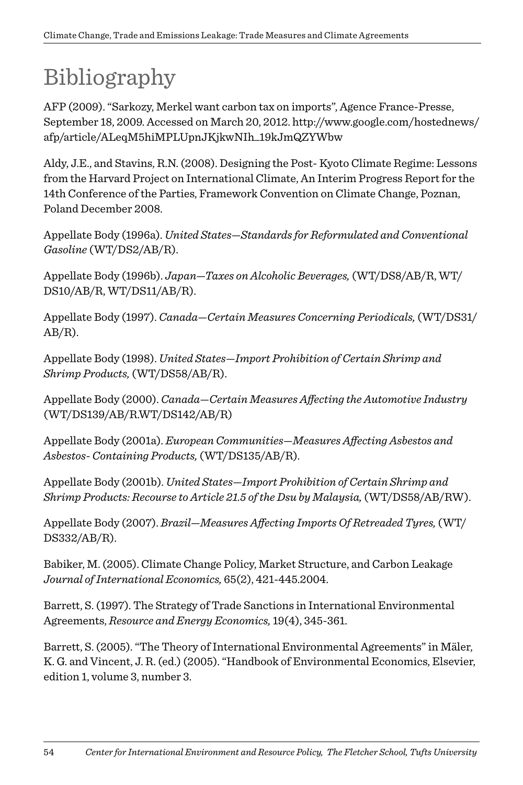# Bibliography

AFP (2009). "Sarkozy, Merkel want carbon tax on imports", Agence France-Presse, September 18, 2009. Accessed on March 20, 2012. http://www.google.com/hostednews/ afp/article/ALeqM5hiMPLUpnJKjkwNIh\_19kJmQZYWbw

Aldy, J.E., and Stavins, R.N. (2008). Designing the Post- Kyoto Climate Regime: Lessons from the Harvard Project on International Climate, An Interim Progress Report for the 14th Conference of the Parties, Framework Convention on Climate Change, Poznan, Poland December 2008.

Appellate Body (1996a). *United States—Standards for Reformulated and Conventional Gasoline* (WT/DS2/AB/R).

Appellate Body (1996b). *Japan—Taxes on Alcoholic Beverages,* (WT/DS8/AB/R, WT/ DS10/AB/R, WT/DS11/AB/R).

Appellate Body (1997). *Canada—Certain Measures Concerning Periodicals,* (WT/DS31/  $AB/R$ ).

Appellate Body (1998). *United States—Import Prohibition of Certain Shrimp and Shrimp Products,* (WT/DS58/AB/R).

Appellate Body (2000). *Canada—Certain Measures Affecting the Automotive Industry*  (WT/DS139/AB/R.WT/DS142/AB/R)

Appellate Body (2001a). *European Communities—Measures Affecting Asbestos and Asbestos- Containing Products,* (WT/DS135/AB/R).

Appellate Body (2001b). *United States—Import Prohibition of Certain Shrimp and Shrimp Products: Recourse to Article 21.5 of the Dsu by Malaysia,* (WT/DS58/AB/RW).

Appellate Body (2007). *Brazil—Measures Affecting Imports Of Retreaded Tyres,* (WT/ DS332/AB/R).

Babiker, M. (2005). Climate Change Policy, Market Structure, and Carbon Leakage *Journal of International Economics,* 65(2), 421-445.2004.

Barrett, S. (1997). The Strategy of Trade Sanctions in International Environmental Agreements, *Resource and Energy Economics,* 19(4), 345-361.

Barrett, S. (2005). "The Theory of International Environmental Agreements" in Mäler, K. G. and Vincent, J. R. (ed.) (2005). "Handbook of Environmental Economics, Elsevier, edition 1, volume 3, number 3.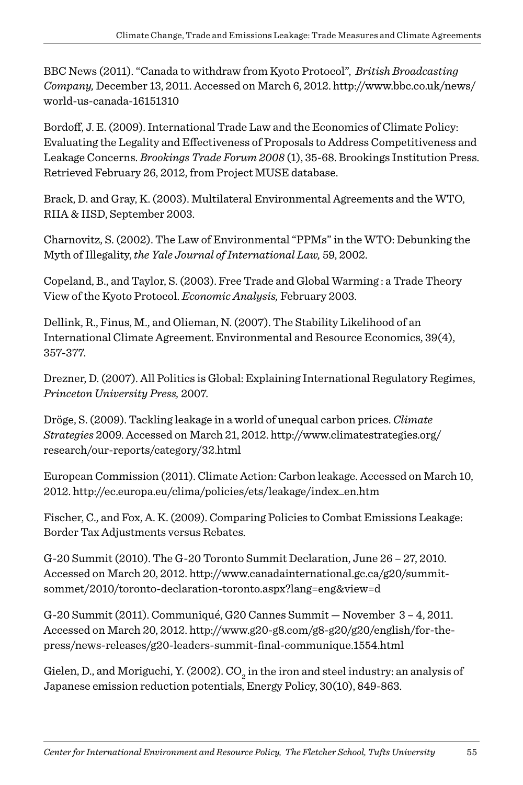BBC News (2011). "Canada to withdraw from Kyoto Protocol", *British Broadcasting Company,* December 13, 2011. Accessed on March 6, 2012. http://www.bbc.co.uk/news/ world-us-canada-16151310

Bordoff, J. E. (2009). International Trade Law and the Economics of Climate Policy: Evaluating the Legality and Effectiveness of Proposals to Address Competitiveness and Leakage Concerns. *Brookings Trade Forum 2008* (1), 35-68. Brookings Institution Press. Retrieved February 26, 2012, from Project MUSE database.

Brack, D. and Gray, K. (2003). Multilateral Environmental Agreements and the WTO, RIIA & IISD, September 2003.

Charnovitz, S. (2002). The Law of Environmental "PPMs" in the WTO: Debunking the Myth of Illegality, *the Yale Journal of International Law,* 59, 2002.

Copeland, B., and Taylor, S. (2003). Free Trade and Global Warming : a Trade Theory View of the Kyoto Protocol. *Economic Analysis,* February 2003.

Dellink, R., Finus, M., and Olieman, N. (2007). The Stability Likelihood of an International Climate Agreement. Environmental and Resource Economics, 39(4), 357-377.

Drezner, D. (2007). All Politics is Global: Explaining International Regulatory Regimes, *Princeton University Press,* 2007.

Dröge, S. (2009). Tackling leakage in a world of unequal carbon prices. *Climate Strategies* 2009. Accessed on March 21, 2012. http://www.climatestrategies.org/ research/our-reports/category/32.html

European Commission (2011). Climate Action: Carbon leakage. Accessed on March 10, 2012. http://ec.europa.eu/clima/policies/ets/leakage/index\_en.htm

Fischer, C., and Fox, A. K. (2009). Comparing Policies to Combat Emissions Leakage: Border Tax Adjustments versus Rebates.

G-20 Summit (2010). The G-20 Toronto Summit Declaration, June 26 – 27, 2010. Accessed on March 20, 2012. http://www.canadainternational.gc.ca/g20/summitsommet/2010/toronto-declaration-toronto.aspx?lang=eng&view=d

G-20 Summit (2011). Communiqué, G20 Cannes Summit — November 3 – 4, 2011. Accessed on March 20, 2012. http://www.g20-g8.com/g8-g20/g20/english/for-thepress/news-releases/g20-leaders-summit-final-communique.1554.html

Gielen, D., and Moriguchi, Y. (2002).  $\mathrm{CO}_2^{}$  in the iron and steel industry: an analysis of Japanese emission reduction potentials, Energy Policy, 30(10), 849-863.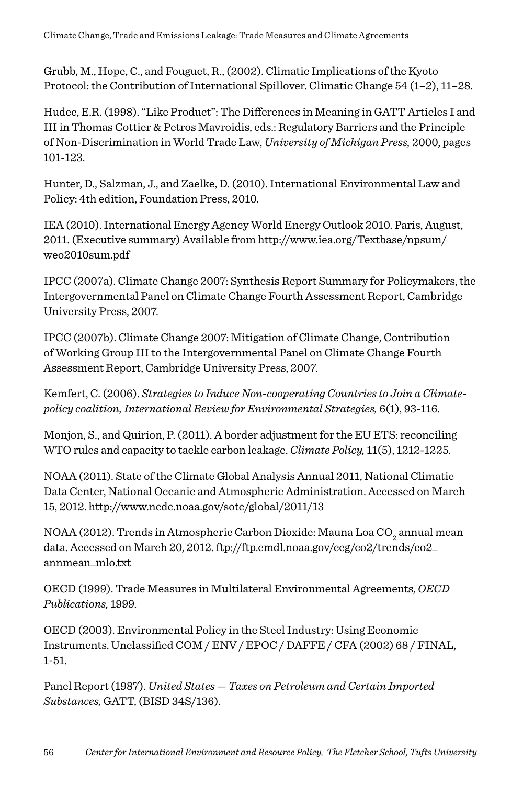Grubb, M., Hope, C., and Fouguet, R., (2002). Climatic Implications of the Kyoto Protocol: the Contribution of International Spillover. Climatic Change 54 (1–2), 11–28.

Hudec, E.R. (1998). "Like Product": The Differences in Meaning in GATT Articles I and III in Thomas Cottier & Petros Mavroidis, eds.: Regulatory Barriers and the Principle of Non-Discrimination in World Trade Law, *University of Michigan Press,* 2000, pages 101-123.

Hunter, D., Salzman, J., and Zaelke, D. (2010). International Environmental Law and Policy: 4th edition, Foundation Press, 2010.

IEA (2010). International Energy Agency World Energy Outlook 2010. Paris, August, 2011. (Executive summary) Available from http://www.iea.org/Textbase/npsum/ weo2010sum.pdf

IPCC (2007a). Climate Change 2007: Synthesis Report Summary for Policymakers, the Intergovernmental Panel on Climate Change Fourth Assessment Report, Cambridge University Press, 2007.

IPCC (2007b). Climate Change 2007: Mitigation of Climate Change, Contribution of Working Group III to the Intergovernmental Panel on Climate Change Fourth Assessment Report, Cambridge University Press, 2007.

Kemfert, C. (2006). *Strategies to Induce Non-cooperating Countries to Join a Climatepolicy coalition, International Review for Environmental Strategies,* 6(1), 93-116.

Monjon, S., and Quirion, P. (2011). A border adjustment for the EU ETS: reconciling WTO rules and capacity to tackle carbon leakage. *Climate Policy,* 11(5), 1212-1225.

NOAA (2011). State of the Climate Global Analysis Annual 2011, National Climatic Data Center, National Oceanic and Atmospheric Administration. Accessed on March 15, 2012. http://www.ncdc.noaa.gov/sotc/global/2011/13

NOAA (2012). Trends in Atmospheric Carbon Dioxide: Mauna Loa CO $_2^{\,}$ annual mean data. Accessed on March 20, 2012. ftp://ftp.cmdl.noaa.gov/ccg/co2/trends/co2\_ annmean\_mlo.txt

OECD (1999). Trade Measures in Multilateral Environmental Agreements, *OECD Publications,* 1999.

OECD (2003). Environmental Policy in the Steel Industry: Using Economic Instruments. Unclassified COM / ENV / EPOC / DAFFE / CFA (2002) 68 / FINAL, 1-51.

Panel Report (1987). *United States — Taxes on Petroleum and Certain Imported Substances,* GATT, (BISD 34S/136).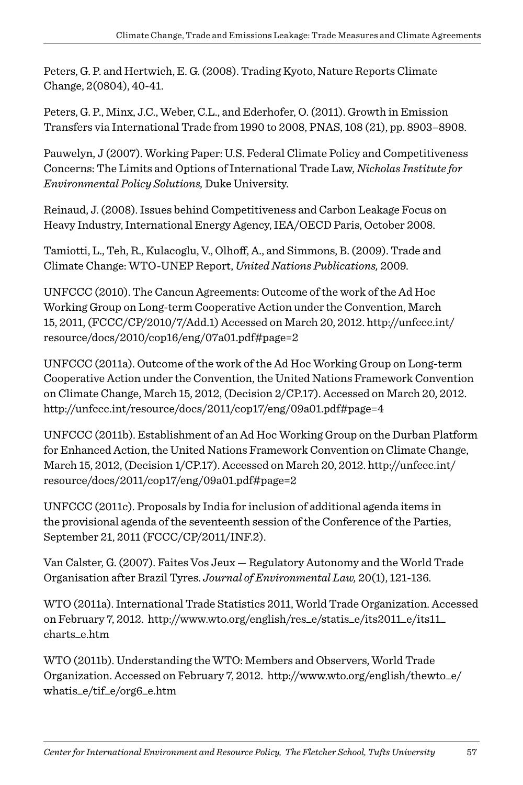Peters, G. P. and Hertwich, E. G. (2008). Trading Kyoto, Nature Reports Climate Change, 2(0804), 40-41.

Peters, G. P., Minx, J.C., Weber, C.L., and Ederhofer, O. (2011). Growth in Emission Transfers via International Trade from 1990 to 2008, PNAS, 108 (21), pp. 8903–8908.

Pauwelyn, J (2007). Working Paper: U.S. Federal Climate Policy and Competitiveness Concerns: The Limits and Options of International Trade Law, *Nicholas Institute for Environmental Policy Solutions,* Duke University.

Reinaud, J. (2008). Issues behind Competitiveness and Carbon Leakage Focus on Heavy Industry, International Energy Agency, IEA/OECD Paris, October 2008.

Tamiotti, L., Teh, R., Kulacoglu, V., Olhoff, A., and Simmons, B. (2009). Trade and Climate Change: WTO-UNEP Report, *United Nations Publications,* 2009.

UNFCCC (2010). The Cancun Agreements: Outcome of the work of the Ad Hoc Working Group on Long-term Cooperative Action under the Convention, March 15, 2011, (FCCC/CP/2010/7/Add.1) Accessed on March 20, 2012. http://unfccc.int/ resource/docs/2010/cop16/eng/07a01.pdf#page=2

UNFCCC (2011a). Outcome of the work of the Ad Hoc Working Group on Long-term Cooperative Action under the Convention, the United Nations Framework Convention on Climate Change, March 15, 2012, (Decision 2/CP.17). Accessed on March 20, 2012. http://unfccc.int/resource/docs/2011/cop17/eng/09a01.pdf#page=4

UNFCCC (2011b). Establishment of an Ad Hoc Working Group on the Durban Platform for Enhanced Action, the United Nations Framework Convention on Climate Change, March 15, 2012, (Decision 1/CP.17). Accessed on March 20, 2012. http://unfccc.int/ resource/docs/2011/cop17/eng/09a01.pdf#page=2

UNFCCC (2011c). Proposals by India for inclusion of additional agenda items in the provisional agenda of the seventeenth session of the Conference of the Parties, September 21, 2011 (FCCC/CP/2011/INF.2).

Van Calster, G. (2007). Faites Vos Jeux — Regulatory Autonomy and the World Trade Organisation after Brazil Tyres. *Journal of Environmental Law,* 20(1), 121-136.

WTO (2011a). International Trade Statistics 2011, World Trade Organization. Accessed on February 7, 2012. http://www.wto.org/english/res\_e/statis\_e/its2011\_e/its11\_ charts\_e.htm

WTO (2011b). Understanding the WTO: Members and Observers, World Trade Organization. Accessed on February 7, 2012. http://www.wto.org/english/thewto\_e/ whatis\_e/tif\_e/org6\_e.htm